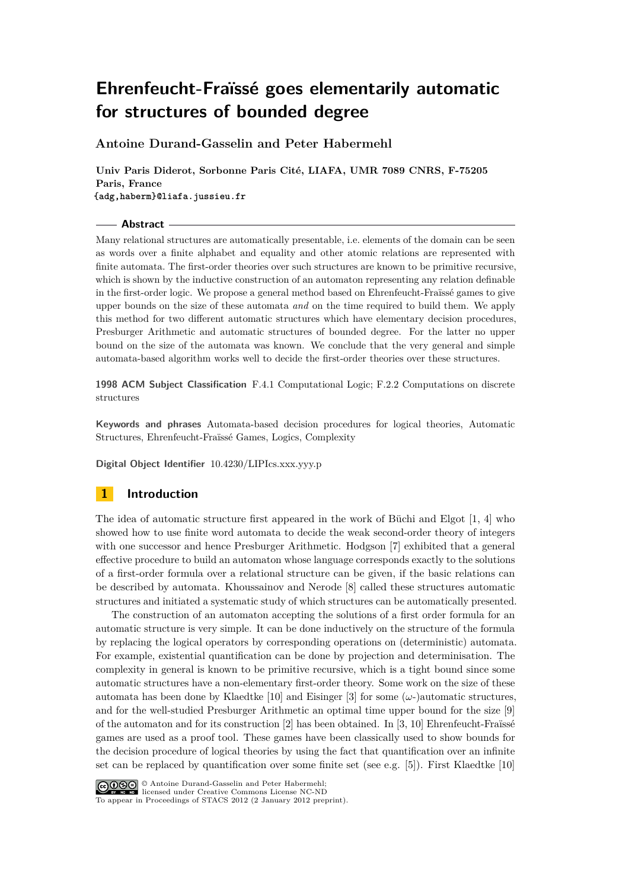**Antoine Durand-Gasselin and Peter Habermehl**

**Univ Paris Diderot, Sorbonne Paris Cité, LIAFA, UMR 7089 CNRS, F-75205 Paris, France {adg,haberm}@liafa.jussieu.fr**

**Abstract**

Many relational structures are automatically presentable, i.e. elements of the domain can be seen as words over a finite alphabet and equality and other atomic relations are represented with finite automata. The first-order theories over such structures are known to be primitive recursive, which is shown by the inductive construction of an automaton representing any relation definable in the first-order logic. We propose a general method based on Ehrenfeucht-Fraïssé games to give upper bounds on the size of these automata *and* on the time required to build them. We apply this method for two different automatic structures which have elementary decision procedures, Presburger Arithmetic and automatic structures of bounded degree. For the latter no upper bound on the size of the automata was known. We conclude that the very general and simple automata-based algorithm works well to decide the first-order theories over these structures.

**1998 ACM Subject Classification** F.4.1 Computational Logic; F.2.2 Computations on discrete structures

**Keywords and phrases** Automata-based decision procedures for logical theories, Automatic Structures, Ehrenfeucht-Fraïssé Games, Logics, Complexity

**Digital Object Identifier** [10.4230/LIPIcs.xxx.yyy.p](http://dx.doi.org/10.4230/LIPIcs.xxx.yyy.p)

# **1 Introduction**

The idea of automatic structure first appeared in the work of Büchi and Elgot [\[1,](#page-11-0) [4\]](#page-11-1) who showed how to use finite word automata to decide the weak second-order theory of integers with one successor and hence Presburger Arithmetic. Hodgson [\[7\]](#page-11-2) exhibited that a general effective procedure to build an automaton whose language corresponds exactly to the solutions of a first-order formula over a relational structure can be given, if the basic relations can be described by automata. Khoussainov and Nerode [\[8\]](#page-11-3) called these structures automatic structures and initiated a systematic study of which structures can be automatically presented.

The construction of an automaton accepting the solutions of a first order formula for an automatic structure is very simple. It can be done inductively on the structure of the formula by replacing the logical operators by corresponding operations on (deterministic) automata. For example, existential quantification can be done by projection and determinisation. The complexity in general is known to be primitive recursive, which is a tight bound since some automatic structures have a non-elementary first-order theory. Some work on the size of these automata has been done by Klaedtke [\[10\]](#page-11-4) and Eisinger [\[3\]](#page-11-5) for some  $(\omega$ -)automatic structures, and for the well-studied Presburger Arithmetic an optimal time upper bound for the size [\[9\]](#page-11-6) of the automaton and for its construction [\[2\]](#page-11-7) has been obtained. In [\[3,](#page-11-5) [10\]](#page-11-4) Ehrenfeucht-Fraïssé games are used as a proof tool. These games have been classically used to show bounds for the decision procedure of logical theories by using the fact that quantification over an infinite set can be replaced by quantification over some finite set (see e.g. [\[5\]](#page-11-8)). First Klaedtke [\[10\]](#page-11-4)



To appear in Proceedings of STACS 2012 (2 January 2012 preprint).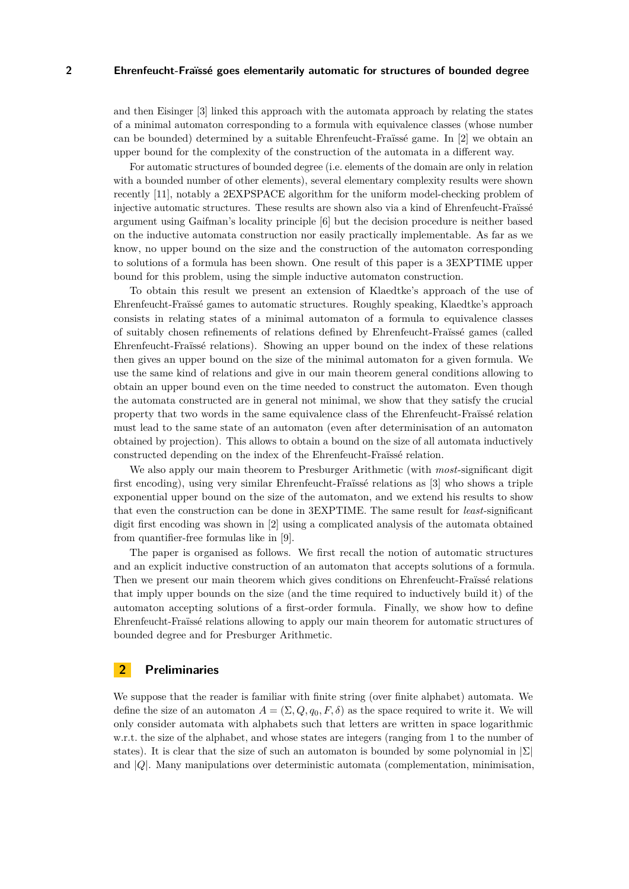and then Eisinger [\[3\]](#page-11-5) linked this approach with the automata approach by relating the states of a minimal automaton corresponding to a formula with equivalence classes (whose number can be bounded) determined by a suitable Ehrenfeucht-Fraïssé game. In [\[2\]](#page-11-7) we obtain an upper bound for the complexity of the construction of the automata in a different way.

For automatic structures of bounded degree (i.e. elements of the domain are only in relation with a bounded number of other elements), several elementary complexity results were shown recently [\[11\]](#page-11-9), notably a 2EXPSPACE algorithm for the uniform model-checking problem of injective automatic structures. These results are shown also via a kind of Ehrenfeucht-Fraïssé argument using Gaifman's locality principle [\[6\]](#page-11-10) but the decision procedure is neither based on the inductive automata construction nor easily practically implementable. As far as we know, no upper bound on the size and the construction of the automaton corresponding to solutions of a formula has been shown. One result of this paper is a 3EXPTIME upper bound for this problem, using the simple inductive automaton construction.

To obtain this result we present an extension of Klaedtke's approach of the use of Ehrenfeucht-Fraïssé games to automatic structures. Roughly speaking, Klaedtke's approach consists in relating states of a minimal automaton of a formula to equivalence classes of suitably chosen refinements of relations defined by Ehrenfeucht-Fraïssé games (called Ehrenfeucht-Fraïssé relations). Showing an upper bound on the index of these relations then gives an upper bound on the size of the minimal automaton for a given formula. We use the same kind of relations and give in our main theorem general conditions allowing to obtain an upper bound even on the time needed to construct the automaton. Even though the automata constructed are in general not minimal, we show that they satisfy the crucial property that two words in the same equivalence class of the Ehrenfeucht-Fraïssé relation must lead to the same state of an automaton (even after determinisation of an automaton obtained by projection). This allows to obtain a bound on the size of all automata inductively constructed depending on the index of the Ehrenfeucht-Fraïssé relation.

We also apply our main theorem to Presburger Arithmetic (with *most*-significant digit first encoding), using very similar Ehrenfeucht-Fraïssé relations as [\[3\]](#page-11-5) who shows a triple exponential upper bound on the size of the automaton, and we extend his results to show that even the construction can be done in 3EXPTIME. The same result for *least*-significant digit first encoding was shown in [\[2\]](#page-11-7) using a complicated analysis of the automata obtained from quantifier-free formulas like in [\[9\]](#page-11-6).

The paper is organised as follows. We first recall the notion of automatic structures and an explicit inductive construction of an automaton that accepts solutions of a formula. Then we present our main theorem which gives conditions on Ehrenfeucht-Fraïssé relations that imply upper bounds on the size (and the time required to inductively build it) of the automaton accepting solutions of a first-order formula. Finally, we show how to define Ehrenfeucht-Fraïssé relations allowing to apply our main theorem for automatic structures of bounded degree and for Presburger Arithmetic.

# **2 Preliminaries**

We suppose that the reader is familiar with finite string (over finite alphabet) automata. We define the size of an automaton  $A = (\Sigma, Q, q_0, F, \delta)$  as the space required to write it. We will only consider automata with alphabets such that letters are written in space logarithmic w.r.t. the size of the alphabet, and whose states are integers (ranging from 1 to the number of states). It is clear that the size of such an automaton is bounded by some polynomial in  $\Sigma$ and |*Q*|. Many manipulations over deterministic automata (complementation, minimisation,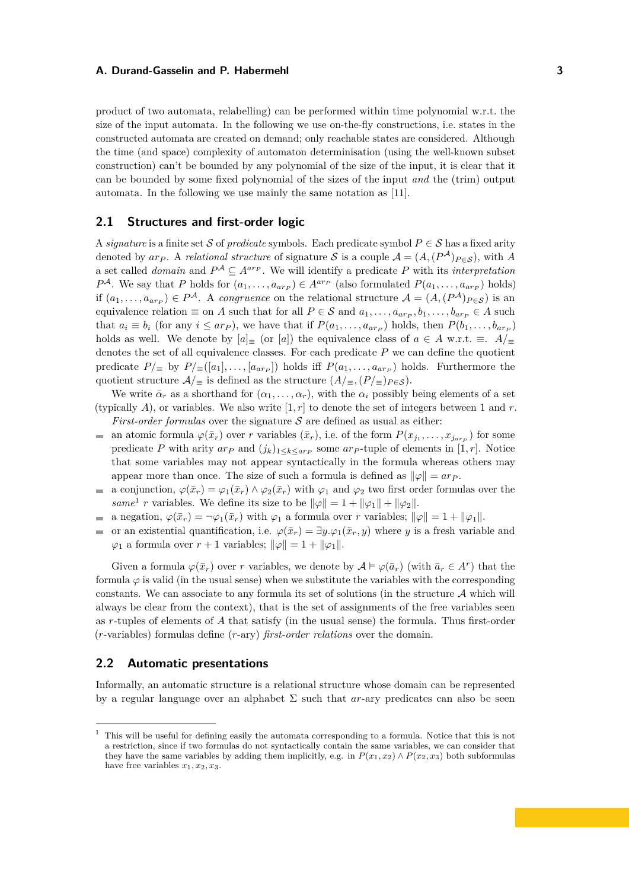product of two automata, relabelling) can be performed within time polynomial w.r.t. the size of the input automata. In the following we use on-the-fly constructions, i.e. states in the constructed automata are created on demand; only reachable states are considered. Although the time (and space) complexity of automaton determinisation (using the well-known subset construction) can't be bounded by any polynomial of the size of the input, it is clear that it can be bounded by some fixed polynomial of the sizes of the input *and* the (trim) output automata. In the following we use mainly the same notation as [\[11\]](#page-11-9).

# **2.1 Structures and first-order logic**

A *signature* is a finite set S of *predicate* symbols. Each predicate symbol  $P \in S$  has a fixed arity denoted by  $ar_P$ . A *relational structure* of signature S is a couple  $\mathcal{A} = (A, (P^{\mathcal{A}})_{P \in \mathcal{S}})$ , with A a set called *domain* and  $P^{\mathcal{A}} \subseteq A^{ar_{P}}$ . We will identify a predicate P with its *interpretation*  $P^{\mathcal{A}}$ . We say that *P* holds for  $(a_1, \ldots, a_{ar_p}) \in A^{ar_p}$  (also formulated  $P(a_1, \ldots, a_{ar_p})$  holds) if  $(a_1, \ldots, a_{arr}) \in P^{\mathcal{A}}$ . A *congruence* on the relational structure  $\mathcal{A} = (A, (P^{\mathcal{A}})_{P \in \mathcal{S}})$  is an equivalence relation  $\equiv$  on *A* such that for all  $P \in S$  and  $a_1, \ldots, a_{ar_P}, b_1, \ldots, b_{ar_P} \in A$  such that  $a_i \equiv b_i$  (for any  $i \leq ar_p$ ), we have that if  $P(a_1, \ldots, a_{ar_p})$  holds, then  $P(b_1, \ldots, b_{ar_p})$ holds as well. We denote by  $[a] \equiv$  (or  $[a]$ ) the equivalence class of  $a \in A$  w.r.t.  $\equiv$ .  $A/\equiv$ denotes the set of all equivalence classes. For each predicate *P* we can define the quotient predicate  $P/\equiv$  by  $P/\equiv$   $([a_1], \ldots, [a_{ar_p}])$  holds iff  $P(a_1, \ldots, a_{ar_p})$  holds. Furthermore the quotient structure  $A/_{\equiv}$  is defined as the structure  $(A/_{\equiv}, (P/_{\equiv})_{P \in S})$ .

We write  $\bar{\alpha}_r$  as a shorthand for  $(\alpha_1, \ldots, \alpha_r)$ , with the  $\alpha_i$  possibly being elements of a set (typically  $A$ ), or variables. We also write  $[1, r]$  to denote the set of integers between 1 and  $r$ . *First-order formulas* over the signature  $S$  are defined as usual as either:

- $\mathcal{L}$ an atomic formula  $\varphi(\bar{x}_r)$  over *r* variables  $(\bar{x}_r)$ , i.e. of the form  $P(x_{j_1}, \ldots, x_{j_{a r}p})$  for some predicate *P* with arity  $ar_p$  and  $(j_k)_{1 \leq k \leq ar_p}$  some  $ar_p$ -tuple of elements in [1, *r*]. Notice that some variables may not appear syntactically in the formula whereas others may appear more than once. The size of such a formula is defined as  $\|\varphi\| = ar_P$ .
- a conjunction,  $\varphi(\bar{x}_r) = \varphi_1(\bar{x}_r) \wedge \varphi_2(\bar{x}_r)$  with  $\varphi_1$  and  $\varphi_2$  two first order formulas over the  $\mathbf{r}$ *same*<sup>1</sup> *r* variables. We define its size to be  $\|\varphi\| = 1 + \|\varphi_1\| + \|\varphi_2\|$ .
- a negation,  $\varphi(\bar{x}_r) = \neg \varphi_1(\bar{x}_r)$  with  $\varphi_1$  a formula over *r* variables;  $\|\varphi\| = 1 + \|\varphi_1\|$ .  $\overline{\phantom{a}}$
- or an existential quantification, i.e.  $\varphi(\bar{x}_r) = \exists y \cdot \varphi_1(\bar{x}_r, y)$  where *y* is a fresh variable and  $\varphi_1$  a formula over  $r + 1$  variables;  $\|\varphi\| = 1 + \|\varphi_1\|$ .

Given a formula  $\varphi(\bar{x}_r)$  over *r* variables, we denote by  $\mathcal{A} \models \varphi(\bar{a}_r)$  (with  $\bar{a}_r \in A^r$ ) that the formula  $\varphi$  is valid (in the usual sense) when we substitute the variables with the corresponding constants. We can associate to any formula its set of solutions (in the structure  $A$  which will always be clear from the context), that is the set of assignments of the free variables seen as *r*-tuples of elements of *A* that satisfy (in the usual sense) the formula. Thus first-order (*r*-variables) formulas define (*r*-ary) *first-order relations* over the domain.

# **2.2 Automatic presentations**

Informally, an automatic structure is a relational structure whose domain can be represented by a regular language over an alphabet  $\Sigma$  such that *ar*-ary predicates can also be seen

 $1$  This will be useful for defining easily the automata corresponding to a formula. Notice that this is not a restriction, since if two formulas do not syntactically contain the same variables, we can consider that they have the same variables by adding them implicitly, e.g. in  $P(x_1, x_2) \wedge P(x_2, x_3)$  both subformulas have free variables  $x_1, x_2, x_3$ .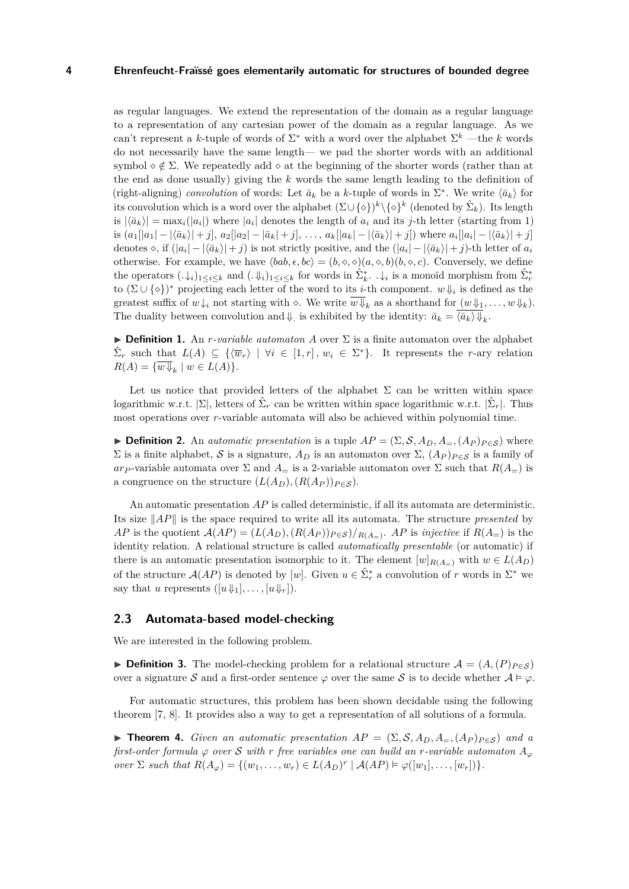as regular languages. We extend the representation of the domain as a regular language to a representation of any cartesian power of the domain as a regular language. As we can't represent a *k*-tuple of words of  $\Sigma^*$  with a word over the alphabet  $\Sigma^k$  —the *k* words do not necessarily have the same length— we pad the shorter words with an additional symbol  $\circ \notin \Sigma$ . We repeatedly add  $\circ$  at the beginning of the shorter words (rather than at the end as done usually) giving the *k* words the same length leading to the definition of (right-aligning) *convolution* of words: Let  $\bar{a}_k$  be a *k*-tuple of words in  $\Sigma^*$ . We write  $\langle \bar{a}_k \rangle$  for its convolution which is a word over the alphabet  $(\Sigma \cup {\{\diamond\}})^k \setminus {\{\diamond\}}^k$  (denoted by  $\hat{\Sigma}_k$ ). Its length is  $|\langle \bar{a}_k \rangle| = \max_i (|a_i|)$  where  $|a_i|$  denotes the length of  $a_i$  and its *j*-th letter (starting from 1) is  $(a_1[|a_1| - |\langle \bar{a}_k \rangle| + j], a_2[|a_2| - |\bar{a}_k| + j], \ldots, a_k[|a_k| - |\langle \bar{a}_k \rangle| + j])$  where  $a_i[|a_i| - |\langle \bar{a}_k \rangle| + j]$ denotes  $\diamond$ , if  $(|a_i| - |\langle \bar{a}_k \rangle| + j)$  is not strictly positive, and the  $(|a_i| - |\langle \bar{a}_k \rangle| + j)$ -th letter of  $a_i$ otherwise. For example, we have  $\langle bab, \epsilon, bc \rangle = (b, \diamond, \diamond)(a, \diamond, b)(b, \diamond, c)$ . Conversely, we define the operators  $(\cdot \downarrow_i)_{1 \leq i \leq k}$  and  $(\cdot \downarrow_i)_{1 \leq i \leq k}$  for words in  $\hat{\Sigma}_k^*$ .  $\cdot \downarrow_i$  is a monoïd morphism from  $\hat{\Sigma}_r^*$ to  $(\Sigma \cup {\{\diamond\}})^*$  projecting each letter of the word to its *i*-th component.  $w \Downarrow_i$  is defined as the greatest suffix of  $w \downarrow_i$  not starting with  $\diamond$ . We write  $\overline{w \Downarrow}_k$  as a shorthand for  $(w \Downarrow_1, \ldots, w \Downarrow_k)$ . The duality between convolution and  $\Downarrow$  is exhibited by the identity:  $\bar{a}_k = \langle \bar{a}_k \rangle \Downarrow_k$ .

**Definition 1.** An *r*-variable automaton *A* over  $\Sigma$  is a finite automaton over the alphabet  $\hat{\Sigma}_r$  such that  $L(A) \subseteq \{ \langle \overline{w}_r \rangle \mid \forall i \in [1, r], w_i \in \Sigma^* \}.$  It represents the *r*-ary relation  $R(A) = \{ w \Downarrow_k \mid w \in L(A) \}.$ 

Let us notice that provided letters of the alphabet  $\Sigma$  can be written within space logarithmic w.r.t.  $|\Sigma|$ , letters of  $\hat{\Sigma}_r$  can be written within space logarithmic w.r.t.  $|\hat{\Sigma}_r|$ . Thus most operations over *r*-variable automata will also be achieved within polynomial time.

**► Definition 2.** An *automatic presentation* is a tuple  $AP = (\Sigma, \mathcal{S}, A_D, A=,(A_P)_{P \in \mathcal{S}})$  where Σ is a finite alphabet, S is a signature,  $A_D$  is an automaton over  $\Sigma$ ,  $(A_P)_{P \in S}$  is a family of *ar*<sub>*P*</sub> -variable automata over  $\Sigma$  and  $A_{\equiv}$  is a 2-variable automaton over  $\Sigma$  such that  $R(A_{\equiv})$  is a congruence on the structure  $(L(A_D), (R(A_P))_{P \in S})$ .

An automatic presentation *AP* is called deterministic, if all its automata are deterministic. Its size  $||AP||$  is the space required to write all its automata. The structure *presented* by *AP* is the quotient  $\mathcal{A}(AP) = (L(A_D), (R(A_P))_{P \in \mathcal{S}})/_{R(A=)}$ . *AP* is *injective* if  $R(A=)$  is the identity relation. A relational structure is called *automatically presentable* (or automatic) if there is an automatic presentation isomorphic to it. The element  $[w]_{R(A-)}$  with  $w \in L(A_D)$ of the structure  $\mathcal{A}(AP)$  is denoted by [*w*]. Given  $u \in \hat{\Sigma}_r^*$  a convolution of *r* words in  $\Sigma^*$  we say that *u* represents  $([u \Downarrow_1], \ldots, [u \Downarrow_r])$ .

### **2.3 Automata-based model-checking**

We are interested in the following problem.

**► Definition 3.** The model-checking problem for a relational structure  $A = (A, (P)_{P \in S})$ over a signature S and a first-order sentence  $\varphi$  over the same S is to decide whether  $\mathcal{A} \models \varphi$ .

For automatic structures, this problem has been shown decidable using the following theorem [\[7,](#page-11-2) [8\]](#page-11-3). It provides also a way to get a representation of all solutions of a formula.

<span id="page-3-0"></span>**► Theorem 4.** Given an automatic presentation  $AP = (\Sigma, \mathcal{S}, A_D, A_{\Xi}, (A_P)_{P \in \mathcal{S}})$  and a *first-order formula*  $\varphi$  *over* S *with r free variables one can build an r*-variable automaton  $A_{\varphi}$  $over \Sigma$  *such that*  $R(A_{\varphi}) = \{(w_1, \ldots, w_r) \in L(A_D)^r \mid A(AP) \models \varphi([w_1], \ldots, [w_r])\}.$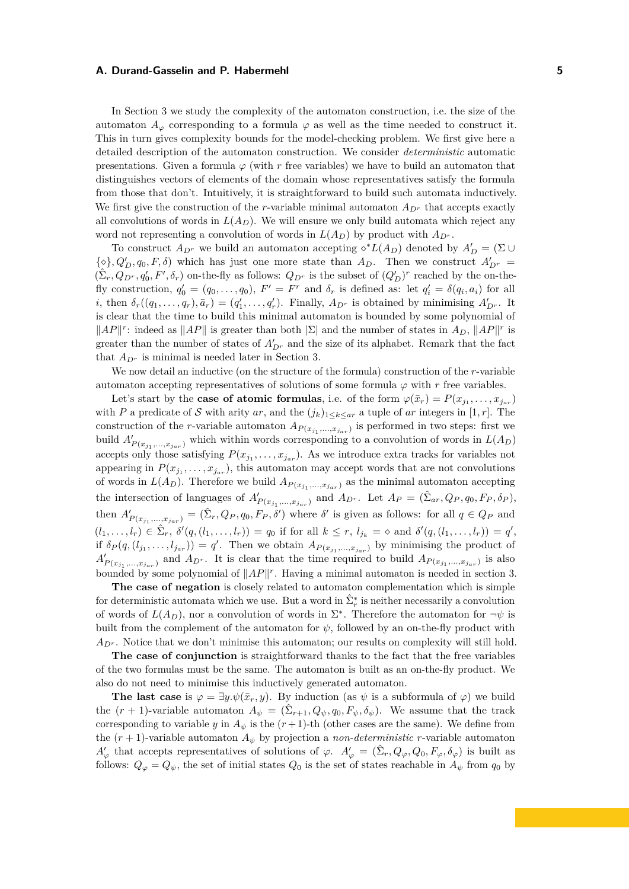In Section [3](#page-5-0) we study the complexity of the automaton construction, i.e. the size of the automaton  $A_{\varphi}$  corresponding to a formula  $\varphi$  as well as the time needed to construct it. This in turn gives complexity bounds for the model-checking problem. We first give here a detailed description of the automaton construction. We consider *deterministic* automatic presentations. Given a formula  $\varphi$  (with r free variables) we have to build an automaton that distinguishes vectors of elements of the domain whose representatives satisfy the formula from those that don't. Intuitively, it is straightforward to build such automata inductively. We first give the construction of the *r*-variable minimal automaton  $A_{D^r}$  that accepts exactly all convolutions of words in  $L(A_D)$ . We will ensure we only build automata which reject any word not representing a convolution of words in  $L(A_D)$  by product with  $A_{D^r}$ .

To construct  $A_{D^r}$  we build an automaton accepting  $\diamond^* L(A_D)$  denoted by  $A'_D = (\Sigma \cup$  $\{\diamond\}, Q'_D, q_0, F, \delta\}$  which has just one more state than  $A_D$ . Then we construct  $A'_{D^r}$  =  $(\hat{\Sigma}_r, Q_{D^r}, q'_0, F', \delta_r)$  on-the-fly as follows:  $Q_{D^r}$  is the subset of  $(Q'_D)^r$  reached by the on-thefly construction,  $q'_0 = (q_0, \ldots, q_0)$ ,  $F' = F^r$  and  $\delta_r$  is defined as: let  $q'_i = \delta(q_i, a_i)$  for all *i*, then  $\delta_r((q_1,\ldots,q_r),\bar{a}_r) = (q'_1,\ldots,q'_r)$ . Finally,  $A_{D^r}$  is obtained by minimising  $A'_{D^r}$ . It is clear that the time to build this minimal automaton is bounded by some polynomial of  $||AP||^r$ : indeed as  $||AP||$  is greater than both  $|\Sigma|$  and the number of states in  $A_D$ ,  $||AP||^r$  is greater than the number of states of  $A'_{D^r}$  and the size of its alphabet. Remark that the fact that  $A_{D^r}$  is minimal is needed later in Section [3.](#page-5-0)

We now detail an inductive (on the structure of the formula) construction of the *r*-variable automaton accepting representatives of solutions of some formula  $\varphi$  with  $r$  free variables.

Let's start by the **case of atomic formulas**, i.e. of the form  $\varphi(\bar{x}_r) = P(x_{j_1}, \ldots, x_{j_{ar}})$ with *P* a predicate of S with arity *ar*, and the  $(j_k)_{1\leq k\leq ar}$  a tuple of *ar* integers in [1, *r*]. The construction of the *r*-variable automaton  $A_{P(x_{j_1},...,x_{j_{ar}})}$  is performed in two steps: first we build  $A'_{P(x_{j_1},...,x_{j_{ar}})}$  which within words corresponding to a convolution of words in  $L(A_D)$ accepts only those satisfying  $P(x_{j_1},...,x_{j_{ar}})$ . As we introduce extra tracks for variables not appearing in  $P(x_{j_1},...,x_{j_{ar}})$ , this automaton may accept words that are not convolutions of words in  $L(A_D)$ . Therefore we build  $A_{P(x_{j_1},...,x_{j_{ar}})}$  as the minimal automaton accepting the intersection of languages of  $A'_{P(x_{j_1},...,x_{j_{ar}})}$  and  $A_{D^r}$ . Let  $A_P = (\hat{\Sigma}_{ar}, Q_P, q_0, F_P, \delta_P)$ , then  $A'_{P(x_{j_1},...,x_{j_{ar}})} = (\hat{\Sigma}_r, Q_P, q_0, F_P, \delta')$  where  $\delta'$  is given as follows: for all  $q \in Q_P$  and  $(l_1, \ldots, l_r) \in \hat{\Sigma}_r$ ,  $\delta'(q, (l_1, \ldots, l_r)) = q_0$  if for all  $k \leq r$ ,  $l_{j_k} = \infty$  and  $\delta'(q, (l_1, \ldots, l_r)) = q'$ , if  $\delta_P(q, (l_{j_1}, \ldots, l_{j_{ar}})) = q'$ . Then we obtain  $A_{P(x_{j_1}, \ldots, x_{j_{ar}})}$  by minimising the product of  $A'_{P(x_{j_1},...,x_{j_{ar}})}$  and  $A_{D^r}$ . It is clear that the time required to build  $A_{P(x_{j_1},...,x_{j_{ar}})}$  is also bounded by some polynomial of  $||AP||^r$ . Having a minimal automaton is needed in section [3.](#page-5-0)

**The case of negation** is closely related to automaton complementation which is simple for deterministic automata which we use. But a word in  $\hat{\Sigma}_r^*$  is neither necessarily a convolution of words of  $L(A_D)$ , nor a convolution of words in  $\Sigma^*$ . Therefore the automaton for  $\neg \psi$  is built from the complement of the automaton for  $\psi$ , followed by an on-the-fly product with  $A_{D^r}$ . Notice that we don't minimise this automaton; our results on complexity will still hold.

**The case of conjunction** is straightforward thanks to the fact that the free variables of the two formulas must be the same. The automaton is built as an on-the-fly product. We also do not need to minimise this inductively generated automaton.

**The last case** is  $\varphi = \exists y \cdot \psi(\bar{x}_r, y)$ . By induction (as  $\psi$  is a subformula of  $\varphi$ ) we build the  $(r + 1)$ -variable automaton  $A_{\psi} = (\hat{\Sigma}_{r+1}, Q_{\psi}, q_0, F_{\psi}, \delta_{\psi})$ . We assume that the track corresponding to variable *y* in  $A_{\psi}$  is the  $(r+1)$ -th (other cases are the same). We define from the  $(r + 1)$ -variable automaton  $A_{\psi}$  by projection a *non-deterministic r*-variable automaton  $A'_{\varphi}$  that accepts representatives of solutions of  $\varphi$ .  $A'_{\varphi} = (\hat{\Sigma}_r, Q_{\varphi}, Q_0, F_{\varphi}, \delta_{\varphi})$  is built as follows:  $Q_{\varphi} = Q_{\psi}$ , the set of initial states  $Q_0$  is the set of states reachable in  $A_{\psi}$  from  $q_0$  by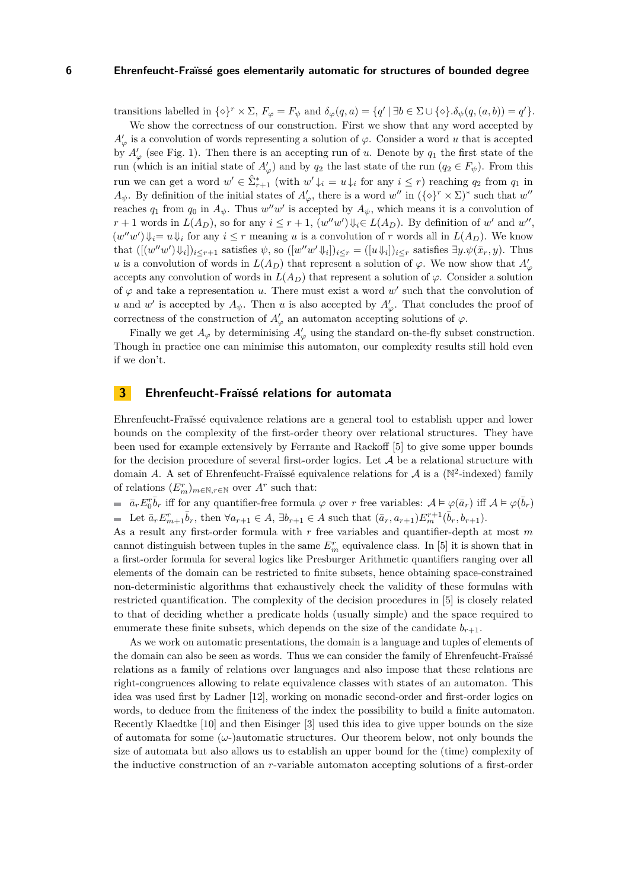transitions labelled in  $\{\diamond\}^r \times \Sigma$ ,  $F_\varphi = F_\psi$  and  $\delta_\varphi(q, a) = \{q' \mid \exists b \in \Sigma \cup \{\diamond\} . \delta_\psi(q, (a, b)) = q'\}.$ 

We show the correctness of our construction. First we show that any word accepted by  $A'_{\varphi}$  is a convolution of words representing a solution of  $\varphi$ . Consider a word *u* that is accepted by  $A'_{\varphi}$  (see Fig. [1\)](#page-7-0). Then there is an accepting run of *u*. Denote by  $q_1$  the first state of the run (which is an initial state of  $A'_{\varphi}$ ) and by  $q_2$  the last state of the run ( $q_2 \in F_{\psi}$ ). From this run we can get a word  $w' \in \hat{\Sigma}_{r+1}^*$  (with  $w' \downarrow_i = u \downarrow_i$  for any  $i \leq r$ ) reaching  $q_2$  from  $q_1$  in  $A_{\psi}$ . By definition of the initial states of  $A'_{\varphi}$ , there is a word *w*<sup>n</sup> in  $({\{\diamond\}}^r \times \Sigma)^*$  such that *w*<sup>n</sup> reaches  $q_1$  from  $q_0$  in  $A_{\psi}$ . Thus  $w''w'$  is accepted by  $A_{\psi}$ , which means it is a convolution of  $r+1$  words in  $L(A_D)$ , so for any  $i \leq r+1$ ,  $(w''w')\psi_i \in L(A_D)$ . By definition of w' and w'',  $(w''w')\psi_i = u\psi_i$  for any  $i \leq r$  meaning *u* is a convolution of *r* words all in  $L(A_D)$ . We know that  $([[w''w')\Downarrow_i])_{i\leq r+1}$  satisfies  $\psi$ , so  $([w''w'\Downarrow_i])_{i\leq r} = ([u\Downarrow_i])_{i\leq r}$  satisfies  $\exists y.\psi(\bar{x}_r, y)$ . Thus *u* is a convolution of words in  $L(A_D)$  that represent a solution of  $\varphi$ . We now show that  $A'_\varphi$ accepts any convolution of words in  $L(A_D)$  that represent a solution of  $\varphi$ . Consider a solution of  $\varphi$  and take a representation *u*. There must exist a word  $w'$  such that the convolution of *u* and *w*<sup>'</sup> is accepted by  $A_{\psi}$ . Then *u* is also accepted by  $A'_{\varphi}$ . That concludes the proof of correctness of the construction of  $A'_{\varphi}$  an automaton accepting solutions of  $\varphi$ .

Finally we get  $A_{\varphi}$  by determinising  $A'_{\varphi}$  using the standard on-the-fly subset construction. Though in practice one can minimise this automaton, our complexity results still hold even if we don't.

# <span id="page-5-0"></span>**3 Ehrenfeucht-Fraïssé relations for automata**

Ehrenfeucht-Fraïssé equivalence relations are a general tool to establish upper and lower bounds on the complexity of the first-order theory over relational structures. They have been used for example extensively by Ferrante and Rackoff [\[5\]](#page-11-8) to give some upper bounds for the decision procedure of several first-order logics. Let  $A$  be a relational structure with domain *A*. A set of Ehrenfeucht-Fraïssé equivalence relations for  $\mathcal{A}$  is a ( $\mathbb{N}^2$ -indexed) family of relations  $(E_m^r)_{m \in \mathbb{N}, r \in \mathbb{N}}$  over  $A^r$  such that:

 $\bar{a}_r E_0^r \bar{b}_r$  iff for any quantifier-free formula  $\varphi$  over *r* free variables:  $\mathcal{A} \models \varphi(\bar{a}_r)$  iff  $\mathcal{A} \models \varphi(\bar{b}_r)$ Let  $\bar{a}_r E_{m+1}^r \bar{b}_r$ , then  $\forall a_{r+1} \in A$ ,  $\exists b_{r+1} \in A$  such that  $(\bar{a}_r, a_{r+1}) E_m^{r+1}(\bar{b}_r, b_{r+1})$ .

As a result any first-order formula with *r* free variables and quantifier-depth at most *m* cannot distinguish between tuples in the same  $E_m^r$  equivalence class. In [\[5\]](#page-11-8) it is shown that in a first-order formula for several logics like Presburger Arithmetic quantifiers ranging over all elements of the domain can be restricted to finite subsets, hence obtaining space-constrained non-deterministic algorithms that exhaustively check the validity of these formulas with restricted quantification. The complexity of the decision procedures in [\[5\]](#page-11-8) is closely related to that of deciding whether a predicate holds (usually simple) and the space required to enumerate these finite subsets, which depends on the size of the candidate  $b_{r+1}$ .

As we work on automatic presentations, the domain is a language and tuples of elements of the domain can also be seen as words. Thus we can consider the family of Ehrenfeucht-Fraïssé relations as a family of relations over languages and also impose that these relations are right-congruences allowing to relate equivalence classes with states of an automaton. This idea was used first by Ladner [\[12\]](#page-11-11), working on monadic second-order and first-order logics on words, to deduce from the finiteness of the index the possibility to build a finite automaton. Recently Klaedtke [\[10\]](#page-11-4) and then Eisinger [\[3\]](#page-11-5) used this idea to give upper bounds on the size of automata for some (*ω*-)automatic structures. Our theorem below, not only bounds the size of automata but also allows us to establish an upper bound for the (time) complexity of the inductive construction of an *r*-variable automaton accepting solutions of a first-order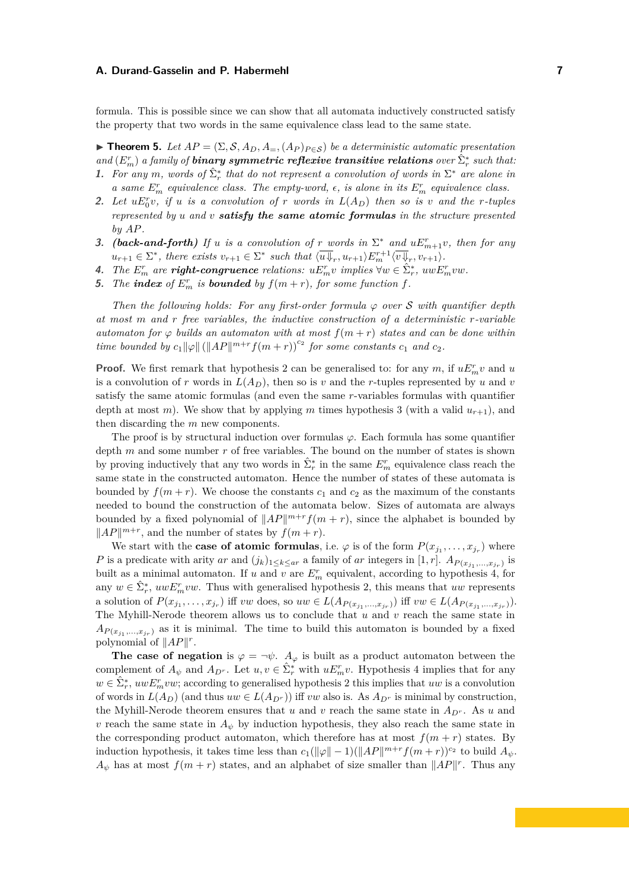formula. This is possible since we can show that all automata inductively constructed satisfy the property that two words in the same equivalence class lead to the same state.

<span id="page-6-0"></span>**► Theorem 5.** *Let*  $AP = (\Sigma, \mathcal{S}, A_D, A=,(A_P)_{P \in \mathcal{S}})$  *be a deterministic automatic presentation*  $\hat{E}_m^r$  *a family of binary symmetric reflexive transitive relations over*  $\hat{\Sigma}_r^*$  *such that:* **1.** For any *m*, words of  $\hat{\Sigma}_r^*$  that do not represent a convolution of words in  $\Sigma^*$  are alone in

- *a* same  $E_m^r$  equivalence class. The empty-word,  $\epsilon$ , is alone in its  $E_m^r$  equivalence class.
- **2.** Let  $uE_0^r v$ , if *u* is a convolution of *r* words in  $L(A_D)$  then so is *v* and the *r*-tuples *represented by u and v satisfy the same atomic formulas in the structure presented by AP.*
- **3.** *(back-and-forth) If u is a convolution of r words in*  $\Sigma^*$  *and*  $uE_{m+1}^r v$ *, then for any*  $u_{r+1} \in \Sigma^*$ , there exists  $v_{r+1} \in \Sigma^*$  such that  $\langle \overline{u} \overline{\psi}_r, u_{r+1} \rangle E_m^{r+1} \langle \overline{v} \overline{\psi}_r, v_{r+1} \rangle$ .
- 4. The  $E_m^r$  are **right-congruence** relations:  $uE_m^r v$  implies  $\forall w \in \hat{\Sigma}_r^*$ ,  $uwE_m^r vw$ .
- **5.** The **index** of  $E_m^r$  is **bounded** by  $f(m+r)$ , for some function  $f$ .

*Then the following holds: For any first-order formula*  $\varphi$  *over* S *with quantifier depth at most m and r free variables, the inductive construction of a deterministic r-variable automaton for*  $\varphi$  *builds an automaton with at most*  $f(m+r)$  *states and can be done within time bounded by*  $c_1 ||\varphi|| \left( ||AP||^{m+r} f(m+r) \right)^{c_2}$  *for some constants*  $c_1$  *and*  $c_2$ *.* 

**Proof.** We first remark that hypothesis 2 can be generalised to: for any  $m$ , if  $uE_m^r v$  and  $u$ is a convolution of *r* words in  $L(A_D)$ , then so is *v* and the *r*-tuples represented by *u* and *v* satisfy the same atomic formulas (and even the same *r*-variables formulas with quantifier depth at most *m*). We show that by applying *m* times hypothesis 3 (with a valid  $u_{r+1}$ ), and then discarding the *m* new components.

The proof is by structural induction over formulas *ϕ*. Each formula has some quantifier depth *m* and some number *r* of free variables. The bound on the number of states is shown by proving inductively that any two words in  $\hat{\Sigma}_r^*$  in the same  $E_m^r$  equivalence class reach the same state in the constructed automaton. Hence the number of states of these automata is bounded by  $f(m + r)$ . We choose the constants  $c_1$  and  $c_2$  as the maximum of the constants needed to bound the construction of the automata below. Sizes of automata are always bounded by a fixed polynomial of  $||AP||^{m+r} f(m + r)$ , since the alphabet is bounded by  $||AP||^{m+r}$ , and the number of states by  $f(m+r)$ .

We start with the **case of atomic formulas**, i.e.  $\varphi$  is of the form  $P(x_{j_1}, \ldots, x_{j_r})$  where *P* is a predicate with arity *ar* and  $(j_k)_{1 \leq k \leq ar}$  a family of *ar* integers in [1, *r*].  $A_{P(x_{j_1},...,x_{j_r})}$  is built as a minimal automaton. If  $u$  and  $v$  are  $E_m^r$  equivalent, according to hypothesis 4, for any  $w \in \hat{\Sigma}_r^*$ ,  $uwE_m^rvw$ . Thus with generalised hypothesis 2, this means that  $uw$  represents a solution of  $P(x_{j_1},...,x_{j_r})$  iff vw does, so  $uw \in L(A_{P(x_{j_1},...,x_{j_r})})$  iff  $vw \in L(A_{P(x_{j_1},...,x_{j_r})})$ . The Myhill-Nerode theorem allows us to conclude that *u* and *v* reach the same state in  $A_{P(x_{j_1},...,x_{j_r})}$  as it is minimal. The time to build this automaton is bounded by a fixed polynomial of  $||AP||^r$ .

**The case of negation** is  $\varphi = \neg \psi$ .  $A_{\varphi}$  is built as a product automaton between the complement of  $A_{\psi}$  and  $A_{D^{r}}$ . Let  $u, v \in \hat{\Sigma}_{r}^{*}$  with  $uE_{m}^{r}v$ . Hypothesis 4 implies that for any  $w \in \hat{\Sigma}_r^*$ ,  $uwE_m^rvw$ ; according to generalised hypothesis 2 this implies that *uw* is a convolution of words in  $L(A_D)$  (and thus  $uw \in L(A_{D^r})$ ) iff *vw* also is. As  $A_{D^r}$  is minimal by construction, the Myhill-Nerode theorem ensures that *u* and *v* reach the same state in  $A_{D^r}$ . As *u* and *v* reach the same state in  $A_{\psi}$  by induction hypothesis, they also reach the same state in the corresponding product automaton, which therefore has at most  $f(m + r)$  states. By induction hypothesis, it takes time less than  $c_1(\|\varphi\| - 1)(\|AP\|^{m+r} f(m+r))^{c_2}$  to build  $A_{\psi}$ .  $A_{\psi}$  has at most  $f(m+r)$  states, and an alphabet of size smaller than  $||AP||^r$ . Thus any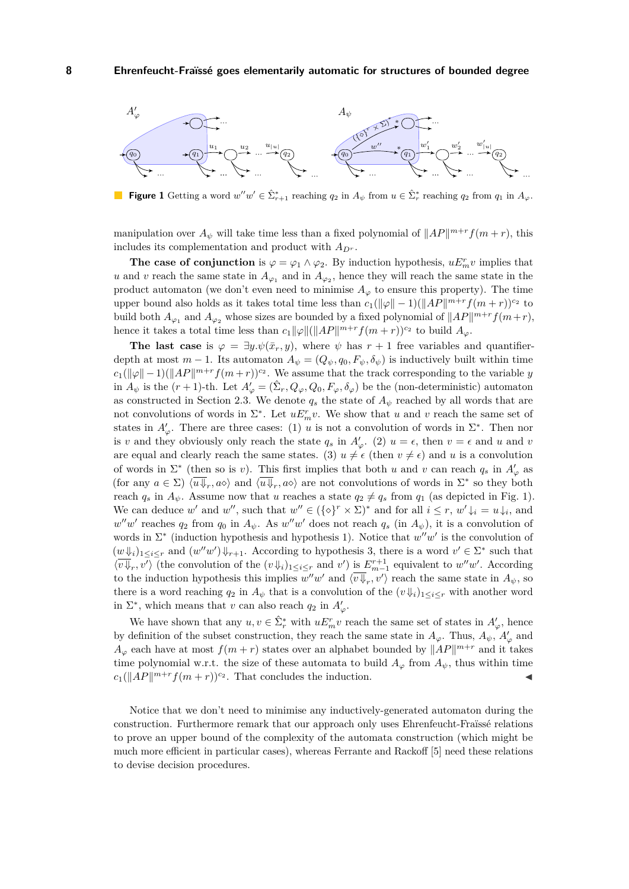<span id="page-7-0"></span>

**Figure 1** Getting a word  $w''w' \in \hat{\Sigma}_{r+1}^*$  reaching  $q_2$  in  $A_{\psi}$  from  $u \in \hat{\Sigma}_r^*$  reaching  $q_2$  from  $q_1$  in  $A_{\varphi}$ .

manipulation over  $A_{\psi}$  will take time less than a fixed polynomial of  $||AP||^{m+r} f(m+r)$ , this includes its complementation and product with  $A_{D^r}$ .

**The case of conjunction** is  $\varphi = \varphi_1 \wedge \varphi_2$ . By induction hypothesis,  $uE_m^r v$  implies that *u* and *v* reach the same state in  $A_{\varphi_1}$  and in  $A_{\varphi_2}$ , hence they will reach the same state in the product automaton (we don't even need to minimise  $A_{\varphi}$  to ensure this property). The time upper bound also holds as it takes total time less than  $c_1(\|\varphi\| - 1)(\|AP\|^{m+r}f(m+r))^{c_2}$  to build both  $A_{\varphi_1}$  and  $A_{\varphi_2}$  whose sizes are bounded by a fixed polynomial of  $||AP||^{m+r} f(m+r)$ , hence it takes a total time less than  $c_1\|\varphi\|(\|AP\|^{m+r}f(m+r))^{c_2}$  to build  $A_\varphi$ .

The last case is  $\varphi = \exists y \cdot \psi(\bar{x}_r, y)$ , where  $\psi$  has  $r + 1$  free variables and quantifierdepth at most  $m-1$ . Its automaton  $A_{\psi} = (Q_{\psi}, q_0, F_{\psi}, \delta_{\psi})$  is inductively built within time  $c_1(\|\varphi\| - 1)(\|AP\|^{m+r} f(m+r))^{c_2}$ . We assume that the track corresponding to the variable *y* in  $A_{\psi}$  is the  $(r+1)$ -th. Let  $A'_{\varphi} = (\hat{\Sigma}_r, Q_{\varphi}, Q_0, F_{\varphi}, \delta_{\varphi})$  be the (non-deterministic) automaton as constructed in Section [2.3.](#page-3-0) We denote  $q_s$  the state of  $A_{\psi}$  reached by all words that are not convolutions of words in  $\Sigma^*$ . Let  $uE^r_m v$ . We show that *u* and *v* reach the same set of states in  $A'_{\varphi}$ . There are three cases: (1) *u* is not a convolution of words in  $\Sigma^*$ . Then nor is *v* and they obviously only reach the state  $q_s$  in  $A'_\varphi$ . (2)  $u = \epsilon$ , then  $v = \epsilon$  and *u* and *v* are equal and clearly reach the same states. (3)  $u \neq \epsilon$  (then  $v \neq \epsilon$ ) and *u* is a convolution of words in  $\Sigma^*$  (then so is *v*). This first implies that both *u* and *v* can reach  $q_s$  in  $A'_\varphi$  as (for any  $a \in \Sigma$ )  $\langle \overline{u} \overline{\psi}_r, a \overline{\diamond} \rangle$  and  $\langle \overline{u} \overline{\psi}_r, a \overline{\diamond} \rangle$  are not convolutions of words in  $\Sigma^*$  so they both reach  $q_s$  in  $A_{\psi}$ . Assume now that *u* reaches a state  $q_2 \neq q_s$  from  $q_1$  (as depicted in Fig. [1\)](#page-7-0). We can deduce *w*' and *w*<sup>"</sup>, such that  $w'' \in (\{\diamond\}^r \times \Sigma)^*$  and for all  $i \leq r$ ,  $w' \downarrow_i = u \downarrow_i$ , and  $w''w'$  reaches  $q_2$  from  $q_0$  in  $A_{\psi}$ . As  $w''w'$  does not reach  $q_s$  (in  $A_{\psi}$ ), it is a convolution of words in Σ<sup>\*</sup> (induction hypothesis and hypothesis 1). Notice that  $w''w'$  is the convolution of  $(w \Downarrow_i)_{1 \leq i \leq r}$  and  $(w''w') \Downarrow_{r+1}$ . According to hypothesis 3, there is a word  $v' \in \Sigma^*$  such that  $\langle v\overline{\psi}_r, v'\rangle$  (the convolution of the  $(v\overline{\psi}_i)_{1\leq i\leq r}$  and  $v'$ ) is  $E^{r+1}_{m-1}$  equivalent to  $w''w'$ . According to the induction hypothesis this implies  $w''w'$  and  $\langle v\overline{\psi}_r, v'\rangle$  reach the same state in  $A_{\psi}$ , so there is a word reaching  $q_2$  in  $A_{\psi}$  that is a convolution of the  $(v\Downarrow_i)_{1\leq i\leq r}$  with another word in  $\Sigma^*$ , which means that *v* can also reach  $q_2$  in  $A'_\varphi$ .

We have shown that any  $u, v \in \hat{\Sigma}_r^*$  with  $uE_n^r v$  reach the same set of states in  $A'_\varphi$ , hence by definition of the subset construction, they reach the same state in  $A_{\varphi}$ . Thus,  $A_{\psi}$ ,  $A'_{\varphi}$  and  $A_{\varphi}$  each have at most  $f(m+r)$  states over an alphabet bounded by  $||AP||^{m+r}$  and it takes time polynomial w.r.t. the size of these automata to build  $A_{\varphi}$  from  $A_{\psi}$ , thus within time  $c_1(\|AP\|^{m+r}f(m+r))^{c_2}$ . That concludes the induction.

Notice that we don't need to minimise any inductively-generated automaton during the construction. Furthermore remark that our approach only uses Ehrenfeucht-Fraïssé relations to prove an upper bound of the complexity of the automata construction (which might be much more efficient in particular cases), whereas Ferrante and Rackoff [\[5\]](#page-11-8) need these relations to devise decision procedures.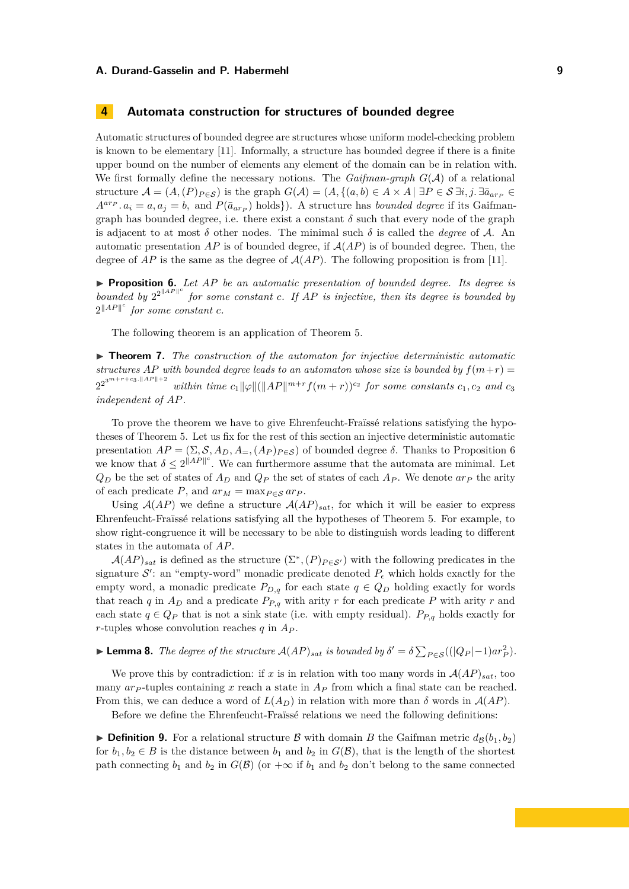### **4 Automata construction for structures of bounded degree**

Automatic structures of bounded degree are structures whose uniform model-checking problem is known to be elementary [\[11\]](#page-11-9). Informally, a structure has bounded degree if there is a finite upper bound on the number of elements any element of the domain can be in relation with. We first formally define the necessary notions. The *Gaifman-graph*  $G(A)$  of a relational structure  $\mathcal{A} = (A, (P)_{P \in \mathcal{S}})$  is the graph  $G(\mathcal{A}) = (A, \{(a, b) \in A \times A \mid \exists P \in \mathcal{S} \exists i, j \in \exists \bar{a}_{arp} \in \mathcal{S} \}$  $A^{a r}$ <sup>*P*</sup>  $a_i = a, a_j = b$ , and  $P(\bar{a}_{a r}$ <sup>*P*</sup> holds<sup>}</sup>). A structure has *bounded degree* if its Gaifmangraph has bounded degree, i.e. there exist a constant  $\delta$  such that every node of the graph is adjacent to at most  $\delta$  other nodes. The minimal such  $\delta$  is called the *degree* of A. An automatic presentation  $AP$  is of bounded degree, if  $A(AP)$  is of bounded degree. Then, the degree of  $AP$  is the same as the degree of  $A(AP)$ . The following proposition is from [\[11\]](#page-11-9).

<span id="page-8-0"></span>I **Proposition 6.** *Let AP be an automatic presentation of bounded degree. Its degree is bounded by*  $2^{2^{\Vert A P \Vert}}$  *for some constant c. If AP is injective, then its degree is bounded by*  $2^{\|AP\|^c}$  for some constant  $c$ *.* 

The following theorem is an application of Theorem [5.](#page-6-0)

<span id="page-8-2"></span>**I Theorem 7.** The construction of the automaton for injective deterministic automatic *structures AP with bounded degree leads to an automaton whose size is bounded by*  $f(m+r)$  =  $2^{2^{3^m+r+c_3.\|AP\|+2}}$ *within time*  $c_1 \|\varphi\| (\|AP\|^{m+r} f(m+r))^{c_2}$  *for some constants*  $c_1, c_2$  *and*  $c_3$ *independent of AP.*

To prove the theorem we have to give Ehrenfeucht-Fraïssé relations satisfying the hypotheses of Theorem [5.](#page-6-0) Let us fix for the rest of this section an injective deterministic automatic presentation  $AP = (\Sigma, \mathcal{S}, A_D, A_{\Xi}, (A_P)_{P \in \mathcal{S}})$  of bounded degree  $\delta$ . Thanks to Proposition [6](#page-8-0) we know that  $\delta \leq 2^{\|AP\|^c}$ . We can furthermore assume that the automata are minimal. Let  $Q_D$  be the set of states of  $A_D$  and  $Q_P$  the set of states of each  $A_P$ . We denote  $a r_P$  the arity of each predicate *P*, and  $ar_M = \max_{P \in S} ar_P$ .

Using  $A(AP)$  we define a structure  $A(AP)_{sat}$ , for which it will be easier to express Ehrenfeucht-Fraïssé relations satisfying all the hypotheses of Theorem [5.](#page-6-0) For example, to show right-congruence it will be necessary to be able to distinguish words leading to different states in the automata of *AP*.

 $\mathcal{A}(AP)_{sat}$  is defined as the structure  $(\Sigma^*, (P)_{P \in \mathcal{S}'})$  with the following predicates in the signature  $\mathcal{S}'$ : an "empty-word" monadic predicate denoted  $P_{\epsilon}$  which holds exactly for the empty word, a monadic predicate  $P_{D,q}$  for each state  $q \in Q_D$  holding exactly for words that reach *q* in  $A_D$  and a predicate  $P_{P,q}$  with arity *r* for each predicate *P* with arity *r* and each state  $q \in Q_P$  that is not a sink state (i.e. with empty residual).  $P_{P,q}$  holds exactly for *r*-tuples whose convolution reaches *q* in *A<sup>P</sup>* .

# <span id="page-8-1"></span>► **Lemma 8.** *The degree of the structure*  $\mathcal{A}(AP)_{sat}$  *is bounded by*  $\delta' = \delta \sum_{P \in \mathcal{S}} ((|Q_P| - 1) a r_P^2)$ *.*

We prove this by contradiction: if *x* is in relation with too many words in  $A(AP)_{sat}$ , too many *ar<sup>P</sup>* -tuples containing *x* reach a state in *A<sup>P</sup>* from which a final state can be reached. From this, we can deduce a word of  $L(A_D)$  in relation with more than  $\delta$  words in  $A(AP)$ .

Before we define the Ehrenfeucht-Fraïssé relations we need the following definitions:

**Definition 9.** For a relational structure B with domain B the Gaifman metric  $d_B(b_1, b_2)$ for  $b_1, b_2 \in B$  is the distance between  $b_1$  and  $b_2$  in  $G(\mathcal{B})$ , that is the length of the shortest path connecting  $b_1$  and  $b_2$  in  $G(\mathcal{B})$  (or  $+\infty$  if  $b_1$  and  $b_2$  don't belong to the same connected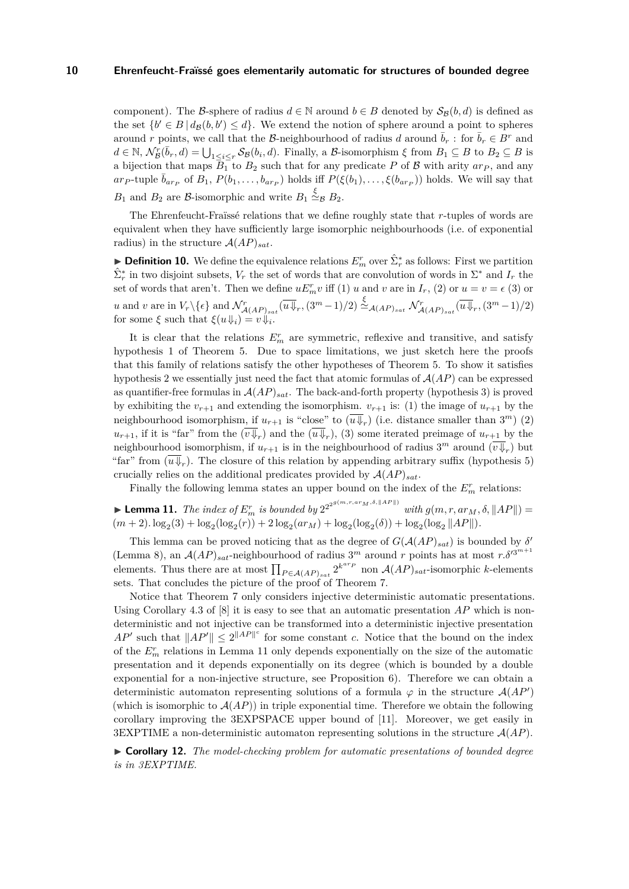component). The B-sphere of radius  $d \in \mathbb{N}$  around  $b \in B$  denoted by  $S_B(b, d)$  is defined as the set  $\{b' \in B \mid d_{\mathcal{B}}(b, b') \leq d\}$ . We extend the notion of sphere around a point to spheres around *r* points, we call that the B-neighbourhood of radius *d* around  $\overline{b}_r$ : for  $\overline{b}_r \in B^r$  and  $d \in \mathbb{N}, \, \mathcal{N}_{\mathcal{B}}^{r}(\bar{b}_{r}, d) = \bigcup_{1 \leq i \leq r} \mathcal{S}_{\mathcal{B}}(b_{i}, d).$  Finally, a  $\mathcal{B}$ -isomorphism  $\xi$  from  $B_{1} \subseteq B$  to  $B_{2} \subseteq B$  is a bijection that maps  $B_1$  to  $B_2$  such that for any predicate P of B with arity  $ar_p$ , and any ar<sub>P</sub>-tuple  $\bar{b}_{ar_p}$  of  $B_1$ ,  $P(b_1, \ldots, b_{ar_p})$  holds iff  $P(\xi(b_1), \ldots, \xi(b_{ar_p}))$  holds. We will say that *B*<sub>1</sub> and *B*<sub>2</sub> are *B*-isomorphic and write  $B_1 \stackrel{\xi}{\simeq} B_2$ .

The Ehrenfeucht-Fraïssé relations that we define roughly state that *r*-tuples of words are equivalent when they have sufficiently large isomorphic neighbourhoods (i.e. of exponential radius) in the structure  $A(AP)_{sat}$ .

<span id="page-9-1"></span>**Definition 10.** We define the equivalence relations  $E_n^r$  over  $\hat{\Sigma}_r^*$  as follows: First we partition  $\hat{\Sigma}_r^*$  in two disjoint subsets,  $V_r$  the set of words that are convolution of words in  $\Sigma^*$  and  $I_r$  the set of words that aren't. Then we define  $uE_n^r v$  iff (1) *u* and *v* are in  $I_r$ , (2) or  $u = v = \epsilon$  (3) or u and v are in  $V_r \backslash {\epsilon}$  and  $\mathcal{N}^r_{\mathcal{A}(AP)_{sat}}(\overline{u} \overline{\Downarrow}_r, (3^m-1)/2) \stackrel{\xi}{\simeq}_{\mathcal{A}(AP)_{sat}} \mathcal{N}^r_{\mathcal{A}(AP)_{sat}}(\overline{u} \overline{\Downarrow}_r, (3^m-1)/2)$ for some  $\xi$  such that  $\xi(u \Downarrow_i) = v \Downarrow_i$ .

It is clear that the relations  $E_m^r$  are symmetric, reflexive and transitive, and satisfy hypothesis 1 of Theorem [5.](#page-6-0) Due to space limitations, we just sketch here the proofs that this family of relations satisfy the other hypotheses of Theorem [5.](#page-6-0) To show it satisfies hypothesis 2 we essentially just need the fact that atomic formulas of  $A(AP)$  can be expressed as quantifier-free formulas in  $A(AP)_{sat}$ . The back-and-forth property (hypothesis 3) is proved by exhibiting the  $v_{r+1}$  and extending the isomorphism.  $v_{r+1}$  is: (1) the image of  $u_{r+1}$  by the neighbourhood isomorphism, if  $u_{r+1}$  is "close" to  $(\overline{u}\overline{\Downarrow}_r)$  (i.e. distance smaller than  $3^m$ ) (2)  $u_{r+1}$ , if it is "far" from the  $(v \Downarrow_r)$  and the  $(u \Downarrow_r)$ , (3) some iterated preimage of  $u_{r+1}$  by the neighbourhood isomorphism, if  $u_{r+1}$  is in the neighbourhood of radius  $3^m$  around  $(\overline{v} \overline{\Downarrow}_r)$  but "far" from  $(\overline{u}\Downarrow_r)$ . The closure of this relation by appending arbitrary suffix (hypothesis 5) crucially relies on the additional predicates provided by  $A(AP)_{sat}$ .

Finally the following lemma states an upper bound on the index of the  $E^r_m$  relations:

<span id="page-9-0"></span> $\blacktriangleright$  **Lemma 11.** *The index of*  $E_m^r$  *is bounded by*  $2^{2^{2^{g(m,r,ar_M,\delta,\|AP\|)}}}$  *with*  $g(m,r,ar_M,\delta, \|AP\|)$  =  $(m+2) \cdot \log_2(3) + \log_2(\log_2(r)) + 2 \log_2(ar_M) + \log_2(\log_2(\delta)) + \log_2(\log_2 ||AP||).$ 

This lemma can be proved noticing that as the degree of  $G(AAP)_{sat}$  is bounded by  $\delta'$ (Lemma [8\)](#page-8-1), an  $\mathcal{A}(AP)_{sat}$ -neighbourhood of radius 3<sup>*m*</sup> around *r* points has at most  $r.\delta'^{3^{m+1}}$ elements. Thus there are at most  $\prod_{P \in A(AP)_{sat}} 2^{k^{arp}}$  non  $A(AP)_{sat}$ -isomorphic *k*-elements sets. That concludes the picture of the proof of Theorem [7.](#page-8-2)

Notice that Theorem [7](#page-8-2) only considers injective deterministic automatic presentations. Using Corollary 4.3 of [\[8\]](#page-11-3) it is easy to see that an automatic presentation *AP* which is nondeterministic and not injective can be transformed into a deterministic injective presentation *AP*<sup> $\prime$ </sup> such that  $||AP'|| \leq 2||AP||^c$  for some constant *c*. Notice that the bound on the index of the  $E_m^r$  relations in Lemma [11](#page-9-0) only depends exponentially on the size of the automatic presentation and it depends exponentially on its degree (which is bounded by a double exponential for a non-injective structure, see Proposition [6\)](#page-8-0). Therefore we can obtain a deterministic automaton representing solutions of a formula  $\varphi$  in the structure  $\mathcal{A}(AP)$ (which is isomorphic to  $A(AP)$ ) in triple exponential time. Therefore we obtain the following corollary improving the 3EXPSPACE upper bound of [\[11\]](#page-11-9). Moreover, we get easily in 3EXPTIME a non-deterministic automaton representing solutions in the structure  $\mathcal{A}(AP)$ .

I **Corollary 12.** *The model-checking problem for automatic presentations of bounded degree is in 3EXPTIME.*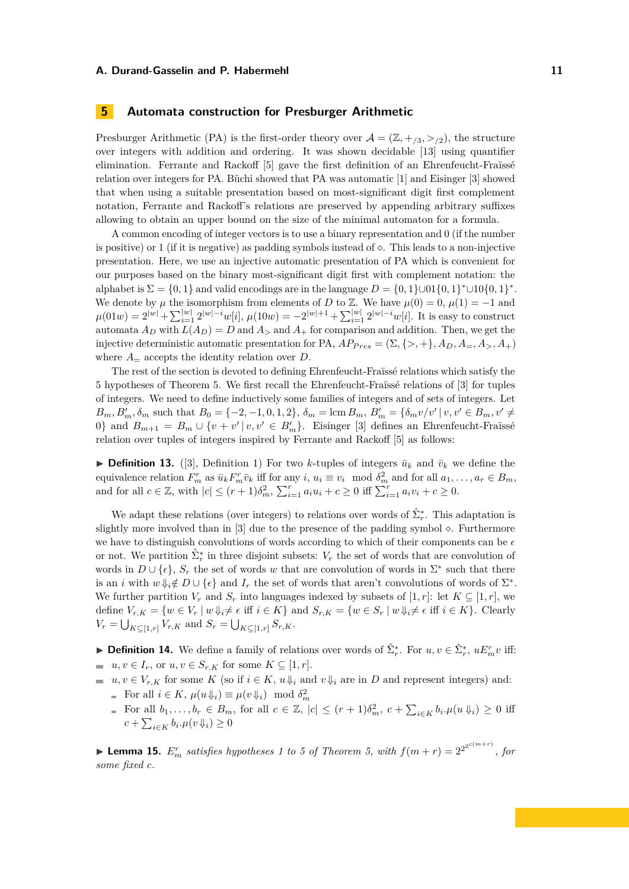# **5 Automata construction for Presburger Arithmetic**

Presburger Arithmetic (PA) is the first-order theory over  $\mathcal{A} = (\mathbb{Z}, +/3, >/2)$ , the structure over integers with addition and ordering. It was shown decidable [\[13\]](#page-11-12) using quantifier elimination. Ferrante and Rackoff [\[5\]](#page-11-8) gave the first definition of an Ehrenfeucht-Fraïssé relation over integers for PA. Büchi showed that PA was automatic [\[1\]](#page-11-0) and Eisinger [\[3\]](#page-11-5) showed that when using a suitable presentation based on most-significant digit first complement notation, Ferrante and Rackoff's relations are preserved by appending arbitrary suffixes allowing to obtain an upper bound on the size of the minimal automaton for a formula.

A common encoding of integer vectors is to use a binary representation and 0 (if the number is positive) or 1 (if it is negative) as padding symbols instead of  $\diamond$ . This leads to a non-injective presentation. Here, we use an injective automatic presentation of PA which is convenient for our purposes based on the binary most-significant digit first with complement notation: the alphabet is  $\Sigma = \{0, 1\}$  and valid encodings are in the language  $D = \{0, 1\} \cup 01\{0, 1\}^* \cup 10\{0, 1\}^*$ . We denote by  $\mu$  the isomorphism from elements of *D* to Z. We have  $\mu(0) = 0$ ,  $\mu(1) = -1$  and  $\mu(01w) = 2^{|w|} + \sum_{i=1}^{|w|} 2^{|w|-i} w[i], \ \mu(10w) = -2^{|w|+1} + \sum_{i=1}^{|w|} 2^{|w|-i} w[i].$  It is easy to construct automata  $A_D$  with  $L(A_D) = D$  and  $A_\ge$  and  $A_+$  for comparison and addition. Then, we get the injective deterministic automatic presentation for PA,  $AP_{Pres} = (\Sigma, \{>, +\}, A_D, A_-, A_+, A_+)$ where  $A_{\equiv}$  accepts the identity relation over *D*.

The rest of the section is devoted to defining Ehrenfeucht-Fraïssé relations which satisfy the 5 hypotheses of Theorem [5.](#page-6-0) We first recall the Ehrenfeucht-Fraïssé relations of [\[3\]](#page-11-5) for tuples of integers. We need to define inductively some families of integers and of sets of integers. Let  $B_m, B'_m, \delta_m$  such that  $B_0 = \{-2, -1, 0, 1, 2\}, \ \delta_m = \text{lcm } B_m, B'_m = \{\delta_m v/v' | v, v' \in B_m, v' \neq 0\}$ 0} and  $B_{m+1} = B_m \cup \{v + v' | v, v' \in B'_m\}$ . Eisinger [\[3\]](#page-11-5) defines an Ehrenfeucht-Fraïssé relation over tuples of integers inspired by Ferrante and Rackoff [\[5\]](#page-11-8) as follows:

**Definition 13.** ([\[3\]](#page-11-5), Definition 1) For two *k*-tuples of integers  $\bar{u}_k$  and  $\bar{v}_k$  we define the equivalence relation  $F_m^r$  as  $\bar{u}_k F_m^r \bar{v}_k$  iff for any  $i, u_i \equiv v_i \mod \delta_m^2$  and for all  $a_1, \ldots, a_r \in B_m$ , and for all  $c \in \mathbb{Z}$ , with  $|c| \le (r+1)\delta_m^2$ ,  $\sum_{i=1}^r a_i u_i + c \ge 0$  iff  $\sum_{i=1}^r a_i v_i + c \ge 0$ .

We adapt these relations (over integers) to relations over words of  $\hat{\Sigma}_{r}^{*}$ . This adaptation is slightly more involved than in  $[3]$  due to the presence of the padding symbol  $\diamond$ . Furthermore we have to distinguish convolutions of words according to which of their components can be  $\epsilon$ or not. We partition  $\hat{\Sigma}_r^*$  in three disjoint subsets:  $V_r$  the set of words that are convolution of words in  $D \cup \{\epsilon\}, S_r$  the set of words w that are convolution of words in  $\Sigma^*$  such that there is an *i* with  $w \Downarrow_i \notin D \cup \{\epsilon\}$  and  $I_r$  the set of words that aren't convolutions of words of  $\Sigma^*$ . We further partition  $V_r$  and  $S_r$  into languages indexed by subsets of [1, *r*]: let  $K \subseteq [1, r]$ , we define  $V_{r,K} = \{w \in V_r \mid w \Downarrow_i \neq \epsilon \text{ iff } i \in K\}$  and  $S_{r,K} = \{w \in S_r \mid w \Downarrow_i \neq \epsilon \text{ iff } i \in K\}$ . Clearly  $V_r = \bigcup_{K \subseteq [1,r]} V_{r,K}$  and  $S_r = \bigcup_{K \subseteq [1,r]} S_{r,K}$ .

► **Definition 14.** We define a family of relations over words of  $\hat{\Sigma}_r^*$ . For  $u, v \in \hat{\Sigma}_r^*$ ,  $uE_m^r v$  iff: *uu*, *v* ∈ *I<sub>r</sub>*, or *u*, *v* ∈ *S<sub>r,K</sub>* for some  $K ⊆ [1, r]$ .

- *u, v* ∈ *V<sub>r,K</sub>* for some *K* (so if  $i \in K$ ,  $u \Downarrow_i$  and  $v \Downarrow_i$  are in *D* and represent integers) and: For all  $i \in K$ ,  $\mu(u \Downarrow_i) \equiv \mu(v \Downarrow_i) \mod \delta_m^2$ 
	- For all  $b_1, \ldots, b_r \in B_m$ , for all  $c \in \mathbb{Z}$ ,  $|c| \leq (r+1)\delta_m^2$ ,  $c + \sum_{i \in K} b_i \cdot \mu(u \Downarrow_i) \geq 0$  iff  $c + \sum_{i \in K} b_i \cdot \mu(v \Downarrow_i) \geq 0$

<span id="page-10-0"></span>**Example 15.**  $E_m^r$  satisfies hypotheses 1 to 5 of Theorem [5,](#page-6-0) with  $f(m+r) = 2^{2^{2^{c(m+r)}}}$ , for *some fixed c.*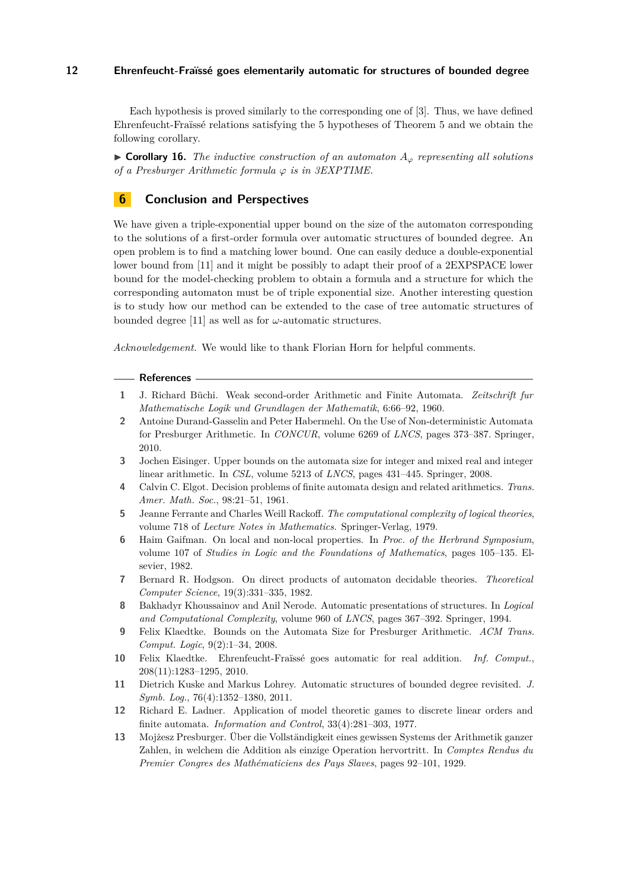Each hypothesis is proved similarly to the corresponding one of [\[3\]](#page-11-5). Thus, we have defined Ehrenfeucht-Fraïssé relations satisfying the 5 hypotheses of Theorem [5](#page-6-0) and we obtain the following corollary.

I **Corollary 16.** *The inductive construction of an automaton A<sup>ϕ</sup> representing all solutions of a Presburger Arithmetic formula*  $\varphi$  *is in 3EXPTIME.* 

# **6 Conclusion and Perspectives**

We have given a triple-exponential upper bound on the size of the automaton corresponding to the solutions of a first-order formula over automatic structures of bounded degree. An open problem is to find a matching lower bound. One can easily deduce a double-exponential lower bound from [\[11\]](#page-11-9) and it might be possibly to adapt their proof of a 2EXPSPACE lower bound for the model-checking problem to obtain a formula and a structure for which the corresponding automaton must be of triple exponential size. Another interesting question is to study how our method can be extended to the case of tree automatic structures of bounded degree [\[11\]](#page-11-9) as well as for *ω*-automatic structures.

*Acknowledgement.* We would like to thank Florian Horn for helpful comments.

#### **References**

- <span id="page-11-0"></span>**1** J. Richard Büchi. Weak second-order Arithmetic and Finite Automata. *Zeitschrift fur Mathematische Logik und Grundlagen der Mathematik*, 6:66–92, 1960.
- <span id="page-11-7"></span>**2** Antoine Durand-Gasselin and Peter Habermehl. On the Use of Non-deterministic Automata for Presburger Arithmetic. In *CONCUR*, volume 6269 of *LNCS*, pages 373–387. Springer, 2010.
- <span id="page-11-5"></span>**3** Jochen Eisinger. Upper bounds on the automata size for integer and mixed real and integer linear arithmetic. In *CSL*, volume 5213 of *LNCS*, pages 431–445. Springer, 2008.
- <span id="page-11-1"></span>**4** Calvin C. Elgot. Decision problems of finite automata design and related arithmetics. *Trans. Amer. Math. Soc.*, 98:21–51, 1961.
- <span id="page-11-8"></span>**5** Jeanne Ferrante and Charles Weill Rackoff. *The computational complexity of logical theories*, volume 718 of *Lecture Notes in Mathematics*. Springer-Verlag, 1979.
- <span id="page-11-10"></span>**6** Haim Gaifman. On local and non-local properties. In *Proc. of the Herbrand Symposium*, volume 107 of *Studies in Logic and the Foundations of Mathematics*, pages 105–135. Elsevier, 1982.
- <span id="page-11-2"></span>**7** Bernard R. Hodgson. On direct products of automaton decidable theories. *Theoretical Computer Science*, 19(3):331–335, 1982.
- <span id="page-11-3"></span>**8** Bakhadyr Khoussainov and Anil Nerode. Automatic presentations of structures. In *Logical and Computational Complexity*, volume 960 of *LNCS*, pages 367–392. Springer, 1994.
- <span id="page-11-6"></span>**9** Felix Klaedtke. Bounds on the Automata Size for Presburger Arithmetic. *ACM Trans. Comput. Logic*, 9(2):1–34, 2008.
- <span id="page-11-4"></span>**10** Felix Klaedtke. Ehrenfeucht-Fraïssé goes automatic for real addition. *Inf. Comput.*, 208(11):1283–1295, 2010.
- <span id="page-11-9"></span>**11** Dietrich Kuske and Markus Lohrey. Automatic structures of bounded degree revisited. *J. Symb. Log.*, 76(4):1352–1380, 2011.
- <span id="page-11-11"></span>**12** Richard E. Ladner. Application of model theoretic games to discrete linear orders and finite automata. *Information and Control*, 33(4):281–303, 1977.
- <span id="page-11-12"></span>**13** Mojżesz Presburger. Über die Vollständigkeit eines gewissen Systems der Arithmetik ganzer Zahlen, in welchem die Addition als einzige Operation hervortritt. In *Comptes Rendus du Premier Congres des Mathématiciens des Pays Slaves*, pages 92–101, 1929.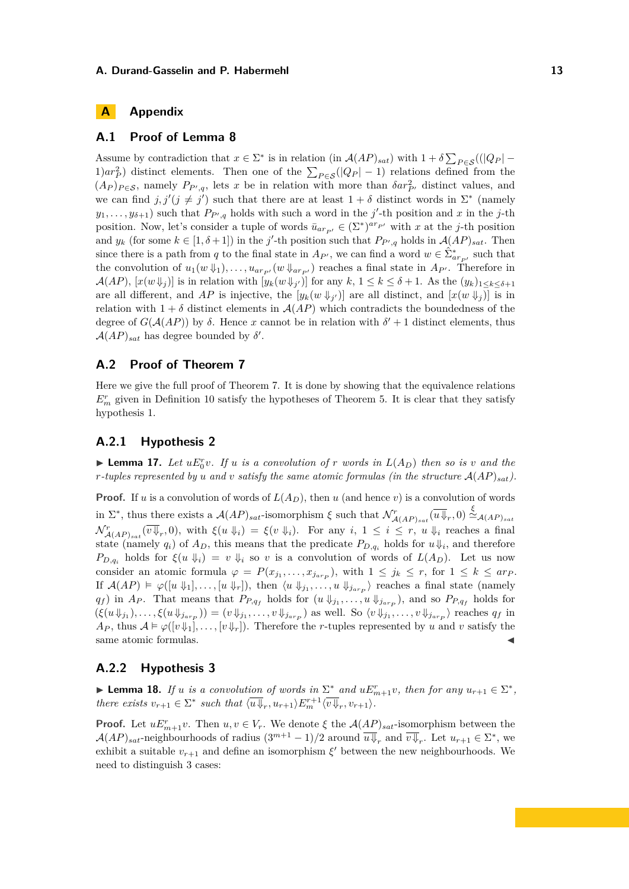# **A Appendix**

# **A.1 Proof of Lemma [8](#page-8-1)**

Assume by contradiction that  $x \in \Sigma^*$  is in relation (in  $\mathcal{A}(AP)_{sat}$ ) with  $1 + \delta \sum_{P \in \mathcal{S}} ((|Q_P| (1)$  $ar_P^2$  distinct elements. Then one of the  $\sum_{P \in \mathcal{S}} (|Q_P| - 1)$  relations defined from the  $(A_P)_{P \in \mathcal{S}}$ , namely  $P_{P',q}$ , lets *x* be in relation with more than  $\delta a r_{P'}^2$  distinct values, and we can find  $j, j' (j \neq j')$  such that there are at least  $1 + \delta$  distinct words in  $\Sigma^*$  (namely  $y_1, \ldots, y_{\delta+1}$  such that  $P_{P',q}$  holds with such a word in the *j*'-th position and *x* in the *j*-th position. Now, let's consider a tuple of words  $\bar{u}_{ar_{P'}} \in (\Sigma^*)^{ar_{P'}}$  with *x* at the *j*-th position and  $y_k$  (for some  $k \in [1, \delta + 1]$ ) in the *j*'-th position such that  $P_{P',q}$  holds in  $\mathcal{A}(AP)_{sat}$ . Then since there is a path from *q* to the final state in  $A_{P'}$ , we can find a word  $w \in \hat{\Sigma}^*_{ar_{P'}}$  such that the convolution of  $u_1(w \psi_1), \ldots, u_{ar_{P'}}(w \psi_{ar_{P'}})$  reaches a final state in  $A_{P'}$ . Therefore in  $\mathcal{A}(AP)$ ,  $[x(w \Downarrow_j)]$  is in relation with  $[y_k(w \Downarrow_{j'})]$  for any  $k, 1 \leq k \leq \delta + 1$ . As the  $(y_k)_{1 \leq k \leq \delta + 1}$ are all different, and AP is injective, the  $[y_k(w \Downarrow_{j'})]$  are all distinct, and  $[x(w \Downarrow_j)]$  is in relation with  $1 + \delta$  distinct elements in  $\mathcal{A}(AP)$  which contradicts the boundedness of the degree of  $G(A(AP))$  by  $\delta$ . Hence *x* cannot be in relation with  $\delta' + 1$  distinct elements, thus  $\mathcal{A}(AP)_{sat}$  has degree bounded by  $\delta'$ .

# **A.2 Proof of Theorem [7](#page-8-2)**

Here we give the full proof of Theorem [7.](#page-8-2) It is done by showing that the equivalence relations  $E_m^r$  given in Definition [10](#page-9-1) satisfy the hypotheses of Theorem [5.](#page-6-0) It is clear that they satisfy hypothesis 1.

### **A.2.1 Hypothesis 2**

**Example 17.** Let  $uE_0^r v$ . If *u is a convolution of r words in*  $L(A_D)$  *then so is v and the r*-tuples represented by *u* and *v* satisfy the same atomic formulas (in the structure  $A(AP)_{sat}$ ).

**Proof.** If *u* is a convolution of words of  $L(A_D)$ , then *u* (and hence *v*) is a convolution of words in  $\Sigma^*$ , thus there exists a  $\mathcal{A}(AP)_{sat}$ -isomorphism  $\xi$  such that  $\mathcal{N}^r_{\mathcal{A}(AP)_{sat}}(\overline{u}\overline{\psi}_r,0) \stackrel{\xi}{\simeq}_{\mathcal{A}(AP)_{sat}}$  $\mathcal{N}_{\mathcal{A}(AP)_{sat}}^r(\overline{v\Downarrow}_r,0)$ , with  $\xi(u\Downarrow_i) = \xi(v\Downarrow_i)$ . For any  $i, 1 \leq i \leq r$ ,  $u\Downarrow_i$  reaches a final state (namely  $q_i$ ) of  $A_D$ , this means that the predicate  $P_{D,q_i}$  holds for  $u \downarrow_i$ , and therefore *P*<sub>*D,q<sub>i</sub>*</sub> holds for  $\xi(u \Downarrow_i) = v \Downarrow_i$  so *v* is a convolution of words of  $L(A_D)$ . Let us now consider an atomic formula  $\varphi = P(x_{j_1}, \ldots, x_{j_{ar_p}})$ , with  $1 \leq j_k \leq r$ , for  $1 \leq k \leq ar_p$ . If  $\mathcal{A}(AP) \models \varphi([u \Downarrow_1], \ldots, [u \Downarrow_r]),$  then  $\langle u \Downarrow_{j_1}, \ldots, u \Downarrow_{j_{arp}}\rangle$  reaches a final state (namely *q*<sup>*f*</sup>) in *A*<sub>*P*</sub>. That means that  $P_{P,q_f}$  holds for  $(u \Downarrow_{j_1}, \ldots, u \Downarrow_{j_{a r_p}})$ , and so  $P_{P,q_f}$  holds for  $(\xi(u\psi_{j_1}),\ldots,\xi(u\psi_{j_{arp}}))=(v\psi_{j_1},\ldots,v\psi_{j_{arp}})$  as well. So  $\langle v\psi_{j_1},\ldots,v\psi_{j_{arp}}\rangle$  reaches  $q_f$  in  $A_P$ , thus  $A \models \varphi([v \Downarrow_1], \ldots, [v \Downarrow_r])$ . Therefore the *r*-tuples represented by *u* and *v* satisfy the same atomic formulas.

# **A.2.2 Hypothesis 3**

► **Lemma 18.** *If u is a convolution of words in*  $\Sigma^*$  *and*  $uE_{m+1}^r v$ *, then for any*  $u_{r+1} \in \Sigma^*$ *, there exists*  $v_{r+1} \in \Sigma^*$  *such that*  $\langle \overline{u} \overline{\psi}_r, u_{r+1} \rangle E_m^{r+1} \langle \overline{v} \overline{\psi}_r, v_{r+1} \rangle$ .

**Proof.** Let  $uE_{m+1}^r v$ . Then  $u, v \in V_r$ . We denote  $\xi$  the  $\mathcal{A}(AP)_{sat}$ -isomorphism between the  $\mathcal{A}(AP)_{sat}$ -neighbourhoods of radius  $(3^{m+1} - 1)/2$  around  $\overline{u \Downarrow}_r$  and  $\overline{v \Downarrow}_r$ . Let  $u_{r+1} \in \Sigma^*$ , we exhibit a suitable  $v_{r+1}$  and define an isomorphism  $\xi'$  between the new neighbourhoods. We need to distinguish 3 cases: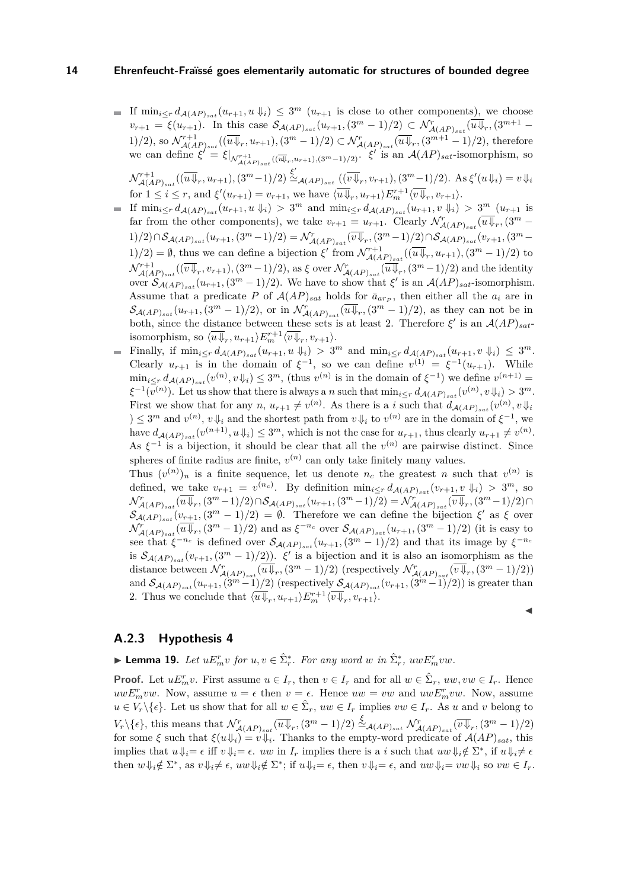- If  $\min_{i \leq r} d_{\mathcal{A}(AP)_{sat}}(u_{r+1}, u \downarrow_i) \leq 3^m (u_{r+1} \text{ is close to other components}),$  we choose  $v_{r+1} = \xi(u_{r+1})$ . In this case  $\mathcal{S}_{\mathcal{A}(AP)_{sat}}(u_{r+1}, (3^m-1)/2) \subset \mathcal{N}_{\mathcal{A}(AP)_{sat}}^r(\overline{u}\overline{\psi}_r, (3^{m+1}-1)/2)$ 1)/2), so  $\mathcal{N}_{\mathcal{A}(AP)_{sat}}^{r+1}((\overline{u}\overline{\psi}_{r},u_{r+1}),(3^m-1)/2)\subset \mathcal{N}_{\mathcal{A}(AP)_{sat}}^{r}(\overline{u}\overline{\psi}_{r},(3^{m+1}-1)/2),$  therefore we can define  $\xi' = \xi|_{\mathcal{N}_{\mathcal{A}(AP)_{sat}}^{r+1}((\overline{\mathcal{W}}_r, u_{r+1}), (3^m-1)/2)}$ .  $\xi'$  is an  $\mathcal{A}(AP)_{sat}$ -isomorphism, so  $\mathcal{N}_{\mathcal{A}(AP)_{sat}}^{r+1}((\overline{u}\overline{\psi}_r, u_{r+1}), (3^m-1)/2) \stackrel{\xi'}{\simeq}_{\mathcal{A}(AP)_{sat}} ((\overline{v}\overline{\psi}_r, v_{r+1}), (3^m-1)/2)$ . As  $\xi'(u\overline{\psi}_i) = v\overline{\psi}_i$ for  $1 \leq i \leq r$ , and  $\xi'(u_{r+1}) = v_{r+1}$ , we have  $\langle \overline{u} \overline{\psi}_r, u_{r+1} \rangle E_m^{r+1} \langle \overline{v} \overline{\psi}_r, v_{r+1} \rangle$ .
- If  $\min_{i \leq r} d_{\mathcal{A}(AP)_{sat}}(u_{r+1}, u \Downarrow_i) > 3^m$  and  $\min_{i \leq r} d_{\mathcal{A}(AP)_{sat}}(u_{r+1}, v \Downarrow_i) > 3^m (u_{r+1}$  is far from the other components), we take  $v_{r+1} = u_{r+1}$ . Clearly  $\mathcal{N}_{\mathcal{A}(AP)_{sat}}^r(\overline{u}\overline{\psi}_r, \overline{(3^m - a_{-1})^r})$  $1)/2) \cap \mathcal{S}_{\mathcal{A}(AP)_{sat}}(u_{r+1}, (3^m-1)/2) = \mathcal{N}_{\mathcal{A}(AP)_{sat}}^r(\overline{v}\overline{\Downarrow}_r, (3^m-1)/2) \cap \mathcal{S}_{\mathcal{A}(AP)_{sat}}(v_{r+1}, (3^m-1)/2)$  $1/2$  = Ø, thus we can define a bijection  $\xi'$  from  $\mathcal{N}_{\mathcal{A}(AP)_{sat}}^{r+1}((\overline{u}\overline{\psi}_r, u_{r+1}), (3^m-1)/2)$  to  $\mathcal{N}_{\mathcal{A}(AP)_{sat}}^{r+1}((\overline{v}\overline{\Downarrow}_{r},v_{r+1}),(3^m-1)/2),$  as  $\xi$  over  $\mathcal{N}_{\mathcal{A}(AP)_{sat}}^{r}(\overline{u}\overline{\Downarrow}_{r},(3^m-1)/2)$  and the identity over  $\mathcal{S}_{\mathcal{A}(AP)_{sat}}(u_{r+1}, (3^m-1)/2)$ . We have to show that  $\xi'$  is an  $\mathcal{A}(AP)_{sat}$ -isomorphism. Assume that a predicate P of  $A(AP)_{sat}$  holds for  $\bar{a}_{arp}$ , then either all the  $a_i$  are in  $\mathcal{S}_{\mathcal{A}(AP)_{sat}}(u_{r+1}, (3^m-1)/2)$ , or in  $\mathcal{N}^r_{\mathcal{A}(AP)_{sat}}(\overline{u}\overline{\psi}_r, (3^m-1)/2)$ , as they can not be in both, since the distance between these sets is at least 2. Therefore  $\xi'$  is an  $A(AP)_{sat}$ isomorphism, so  $\langle \overline{u} \psi_r, u_{r+1} \rangle E_m^{r+1} \langle \overline{v} \psi_r, v_{r+1} \rangle$ .
- Finally, if  $\min_{i \leq r} d_{\mathcal{A}(AP)_{sat}}(u_{r+1}, u \Downarrow_i) > 3^m$  and  $\min_{i \leq r} d_{\mathcal{A}(AP)_{sat}}(u_{r+1}, v \Downarrow_i) \leq 3^m$ . Clearly  $u_{r+1}$  is in the domain of  $\xi^{-1}$ , so we can define  $v^{(1)} = \xi^{-1}(u_{r+1})$ . While  $\min_{i\leq r} d_{\mathcal{A}(AP)_{sat}}(v^{(n)}, v\downarrow_i) \leq 3^m$ , (thus  $v^{(n)}$  is in the domain of  $\xi^{-1}$ ) we define  $v^{(n+1)}$  =  $\xi^{-1}(v^{(n)})$ . Let us show that there is always a *n* such that  $\min_{i \leq r} d_{\mathcal{A}(AP)_{sat}}(v^{(n)}, v \downarrow_i) > 3^m$ . First we show that for any  $n, u_{r+1} \neq v^{(n)}$ . As there is a *i* such that  $d_{\mathcal{A}(AP)_{sat}}(v^{(n)}, v \downarrow_i)$ ) ≤ 3<sup>*m*</sup> and *v*<sup>(*n*</sup>), *v* ↓*i* and the shortest path from *v* ↓*i* to *v*<sup>(*n*)</sup> are in the domain of  $ξ^{-1}$ , we have  $d_{\mathcal{A}(AP)_{sat}}(v^{(n+1)}, u \downarrow_i) \leq 3^m$ , which is not the case for  $u_{r+1}$ , thus clearly  $u_{r+1} \neq v^{(n)}$ . As  $\xi^{-1}$  is a bijection, it should be clear that all the  $v^{(n)}$  are pairwise distinct. Since spheres of finite radius are finite,  $v^{(n)}$  can only take finitely many values.

Thus  $(v^{(n)})_n$  is a finite sequence, let us denote  $n_c$  the greatest *n* such that  $v^{(n)}$  is defined, we take  $v_{r+1} = v^{(n_c)}$ . By definition  $\min_{i \leq r} d_{\mathcal{A}(AP)_{sat}}(v_{r+1}, v \Downarrow_i) > 3^m$ , so  $\mathcal{N}^r_{\mathcal{A}(AP)_{sat}}(\overline{u}\overline{\Downarrow}_r,(3^m-1)/2)\cap\mathcal{S}_{\mathcal{A}(AP)_{sat}}(u_{r+1},(3^m-1)/2)=\mathcal{N}^r_{\mathcal{A}(AP)_{sat}}(\overline{v}\overline{\Downarrow}_r,(3^m-1)/2)\cap\mathcal{S}_{\mathcal{A}(AP)_{sat}}(\overline{u}\overline{\Downarrow}_r,(3^m-1)/2)$  $\mathcal{S}_{\mathcal{A}(AP)_{sat}}(v_{r+1}, (3^m-1)/2) = \emptyset$ . Therefore we can define the bijection  $\xi'$  as  $\xi$  over  $\mathcal{N}^r_{\mathcal{A}(AP)_{sat}}(\overline{u}\overline{\psi}_r, (3^m-1)/2)$  and as  $\xi^{-n_c}$  over  $\mathcal{S}_{\mathcal{A}(AP)_{sat}}(u_{r+1}, (3^m-1)/2)$  (it is easy to see that  $\xi^{-n_c}$  is defined over  $\mathcal{S}_{\mathcal{A}(AP)_{sat}}(u_{r+1}, (3^m-1)/2)$  and that its image by  $\xi^{-n_c}$ is  $S_{\mathcal{A}(AP)_{sat}}(v_{r+1}, (3^m-1)/2)$ ). *ξ*' is a bijection and it is also an isomorphism as the distance between  $\mathcal{N}^r_{\mathcal{A}(AP)_{sat}}(\overline{u}\overline{\psi}_r, (3^m-1)/2)$  (respectively  $\mathcal{N}^r_{\mathcal{A}(AP)_{sat}}(\overline{v}\overline{\psi}_r, (3^m-1)/2)$ ) and  $\mathcal{S}_{\mathcal{A}(AP)_{sat}}(u_{r+1}, \overline{(3^{m}-1)}/2)$  (respectively  $\mathcal{S}_{\mathcal{A}(AP)_{sat}}(v_{r+1}, \overline{(3^{m}-1)}/2)$ ) is greater than 2. Thus we conclude that  $\langle \overline{u} \psi_r, u_{r+1} \rangle E_m^{r+1} \langle \overline{v} \psi_r, v_{r+1} \rangle$ .

#### J

# **A.2.3 Hypothesis 4**

▶ **Lemma 19.** *Let*  $uE_n^r v$  *for*  $u, v \in \hat{\Sigma}_r^*$ *. For any word*  $w$  *in*  $\hat{\Sigma}_r^*$ *,*  $uwE_m^r vw$ *.* 

**Proof.** Let  $uE_n^r v$ . First assume  $u \in I_r$ , then  $v \in I_r$  and for all  $w \in \hat{\Sigma}_r$ ,  $uw, vw \in I_r$ . Hence  $uwE_m^rvw$ . Now, assume  $u = \epsilon$  then  $v = \epsilon$ . Hence  $uw = vw$  and  $uwE_m^rvw$ . Now, assume  $u \in V_r \backslash \{\epsilon\}$ . Let us show that for all  $w \in \hat{\Sigma}_r$ ,  $uw \in I_r$  implies  $vw \in I_r$ . As *u* and *v* belong to  $V_r \setminus \{\epsilon\},\$  this means that  $\mathcal{N}^r_{\mathcal{A}(AP)_{sat}}(\overline{u} \overline{\psi}_r, (3^m-1)/2) \stackrel{\xi}{\simeq}_{\mathcal{A}(AP)_{sat}} \mathcal{N}^r_{\mathcal{A}(AP)_{sat}}(\overline{v} \overline{\psi}_r, (3^m-1)/2)$ for some  $\xi$  such that  $\xi(u\downarrow_i) = v\downarrow_i$ . Thanks to the empty-word predicate of  $\mathcal{A}(AP)_{sat}$ , this implies that  $u \Downarrow_i = \epsilon$  iff  $v \Downarrow_i = \epsilon$ . *uw* in  $I_r$  implies there is a *i* such that  $uw \Downarrow_i \notin \Sigma^*$ , if  $u \Downarrow_i \neq \epsilon$ then  $w \Downarrow_i \notin \Sigma^*$ , as  $v \Downarrow_i \neq \epsilon$ ,  $uw \Downarrow_i \notin \Sigma^*$ ; if  $u \Downarrow_i = \epsilon$ , then  $v \Downarrow_i = \epsilon$ , and  $uw \Downarrow_i = vw \Downarrow_i$  so  $vw \in I_r$ .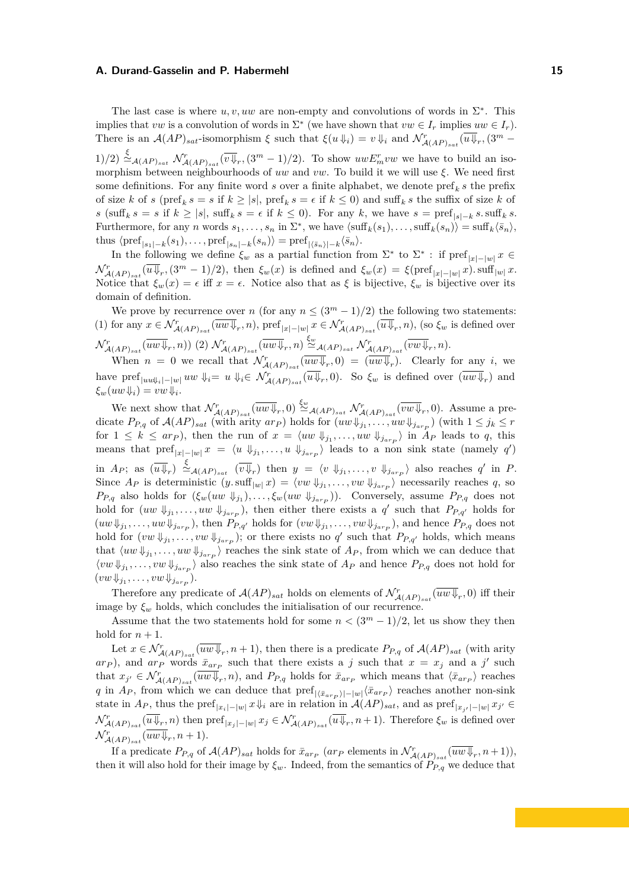The last case is where  $u, v, uw$  are non-empty and convolutions of words in  $\Sigma^*$ . This implies that *vw* is a convolution of words in  $\Sigma^*$  (we have shown that  $vw \in I_r$  implies  $uw \in I_r$ ). There is an  $\mathcal{A}(AP)_{sat}$ -isomorphism  $\xi$  such that  $\xi(u \Downarrow_i) = v \Downarrow_i$  and  $\mathcal{N}_{\mathcal{A}(AP)_{sat}}^r(\overline{u \Downarrow_r}, \overline{(3^m - x^i \Downarrow_r)})$  $(1)/2) \stackrel{\xi}{\sim}$   $\mathcal{A}_{(AP)_{sat}} \mathcal{N}_{\mathcal{A}(AP)_{sat}}^r(\overline{v} \overline{\psi}_r, (3^m-1)/2)$ . To show  $uwE_m^rvw$  we have to build an isomorphism between neighbourhoods of *uw* and *vw*. To build it we will use *ξ*. We need first some definitions. For any finite word  $s$  over a finite alphabet, we denote  $\text{pref}_k s$  the prefix of size *k* of *s* (pref<sub>*k*</sub>  $s = s$  if  $k \ge |s|$ , pref<sub>*k*</sub>  $s = \epsilon$  if  $k \le 0$ ) and suff<sub>*k*</sub> s the suffix of size *k* of *s* (suff<sub>*k*</sub> *s* = *s* if  $k \ge |s|$ , suff<sub>*k*</sub> *s* =  $\epsilon$  if  $k \le 0$ ). For any *k*, we have  $s = \text{pref}_{|s|-k} s$ . suff<sub>*k*</sub> *s*. Furthermore, for any *n* words  $s_1, \ldots, s_n$  in  $\Sigma^*$ , we have  $\langle \text{suffix}(s_1), \ldots, \text{suffix}(s_n) \rangle = \text{suffix}(\bar{s}_n),$ thus  $\langle \text{pref}_{|s_1|-k}(s_1), \ldots, \text{pref}_{|s_n|-k}(s_n) \rangle = \text{pref}_{|\langle \bar{s}_n \rangle| - k} \langle \bar{s}_n \rangle$ .

In the following we define  $\xi_w$  as a partial function from  $\Sigma^*$  to  $\Sigma^*$ : if  $\text{pref}_{|x|-|w|}x \in$  $\mathcal{N}^r_{\mathcal{A}(AP)_{sat}}(\overline{u}\overline{\psi}_r,(3^m-1)/2)$ , then  $\xi_w(x)$  is defined and  $\xi_w(x) = \xi(\text{pref}_{|x|-|w|}x)$ . suff<sub>|w|</sub> x. Notice that  $\xi_w(x) = \epsilon$  iff  $x = \epsilon$ . Notice also that as  $\xi$  is bijective,  $\xi_w$  is bijective over its domain of definition.

We prove by recurrence over *n* (for any  $n \leq (3^m - 1)/2$ ) the following two statements: (1) for any  $x \in \mathcal{N}_{\mathcal{A}(AP)_{sat}}^r(\overline{uw} \Downarrow_r, n)$ ,  $\text{pref}_{|x|-|w|} x \in \mathcal{N}_{\mathcal{A}(AP)_{sat}}^r(\overline{u} \Downarrow_r, n)$ , (so  $\xi_w$  is defined over  $\mathcal{N}^r_{\mathcal{A}(AP)_{sat}}(\overline{uw\Downarrow_r},n))$  (2)  $\mathcal{N}^r_{\mathcal{A}(AP)_{sat}}(\overline{uw\Downarrow_r},n) \stackrel{\xi_w}{\simeq}_{\mathcal{A}(AP)_{sat}} \mathcal{N}^r_{\mathcal{A}(AP)_{sat}}(\overline{vw\Downarrow_r},n)$ .

When  $n = 0$  we recall that  $\mathcal{N}^r_{\mathcal{A}(AP)_{sat}}(\overline{uw \Downarrow_r},0) = (\overline{uw \Downarrow_r})$ . Clearly for any *i*, we  $\Delta$  have pref<sub>|*uw* $\Downarrow_i$ |−|*w*|  $uw \Downarrow_i = u \Downarrow_i \in \mathcal{N}_{\mathcal{A}(AP)_{sat}}^r(\overline{u} \Downarrow_r, 0)$ . So  $\xi_w$  is defined over  $(\overline{uw \Downarrow_r})$  and</sub>  $\xi_w(uw\downarrow_i) = vw\downarrow_i$ .

We next show that  $\mathcal{N}^r_{\mathcal{A}(AP)_{sat}}(\overline{uw} \Downarrow_r,0) \stackrel{\xi_w}{\simeq} \mathcal{A}_{(AP)_{sat}} \mathcal{N}^r_{\mathcal{A}(AP)_{sat}}(\overline{vw} \Downarrow_r,0)$ . Assume a predicate  $P_{P,q}$  of  $\mathcal{A}(AP)_{sat}$  (with arity  $ar_P$ ) holds for  $(uw\Downarrow_{j_1}, \ldots, uv\Downarrow_{j_{ar_P}})$  (with  $1 \leq j_k \leq r$ for  $1 \leq k \leq ar_p$ ), then the run of  $x = \langle uw \Downarrow_{j_1}, \ldots, uw \Downarrow_{j_{ar_p}} \rangle$  in  $A_P$  leads to q, this means that  $\text{pref}_{|x|-|w|}x = \langle u \Downarrow_{j_1}, \ldots, u \Downarrow_{j_{a r}p} \rangle$  leads to a non sink state (namely *q'*)  $\lim_{M \to \infty} A_P$ ; as  $\left(\overline{u \Downarrow_r}\right) \stackrel{\xi}{\sim}$   $\mathcal{A}(AP)_{sat}$   $\left(\overline{v \Downarrow_r}\right)$  then  $y = \langle v \Downarrow_{j_1}, \ldots, v \Downarrow_{j_{arp}} \rangle$  also reaches *q'* in *P*. Since  $A_P$  is deterministic  $(y \cdot \text{suffix} | w | x) = \langle vw | \Downarrow_{j_1}, \dots, vw | \Downarrow_{j_{a r_P}} \rangle$  necessarily reaches q, so *P*<sup>*P*</sup>*P<sub><i>n*</sub></sub> also holds for  $(\xi_w(uw \Downarrow_{j_1}), \dots, \xi_w(uw \Downarrow_{j_{a r}}))$ . Conversely, assume *P*<sub>*P<sub><i>n*</sub></sub> does not</sub> hold for  $(uw \Downarrow_{j_1}, \ldots, uv \Downarrow_{j_{a r_p}})$ , then either there exists a  $q'$  such that  $P_{P,q'}$  holds for  $(uw\Downarrow_{j_1}, \ldots, uw\Downarrow_{j_{a r}p})$ , then  $P_{P,q'}$  holds for  $(vw\Downarrow_{j_1}, \ldots, vw\Downarrow_{j_{a r}p})$ , and hence  $P_{P,q}$  does not hold for  $(vw \Downarrow_{j_1}, \ldots, vw \Downarrow_{j_{a r} p})$ ; or there exists no  $q'$  such that  $P_{P,q'}$  holds, which means that  $\langle uw \Downarrow_{j_1}, \ldots, uw \Downarrow_{j_{a r} \}$  reaches the sink state of  $A_P$ , from which we can deduce that  $\langle vw \Downarrow_{j_1}, \ldots, vw \Downarrow_{j_{a r} p}$  also reaches the sink state of  $A_P$  and hence  $P_{P,q}$  does not hold for  $(vw\Downarrow_{j_1},\ldots,vw\Downarrow_{j_{a r} p}).$ 

Therefore any predicate of  $\mathcal{A}(AP)_{sat}$  holds on elements of  $\mathcal{N}^r_{\mathcal{A}(AP)_{sat}}(\overline{uw \Downarrow}_r,0)$  iff their image by  $\xi_w$  holds, which concludes the initialisation of our recurrence.

Assume that the two statements hold for some  $n < (3<sup>m</sup> - 1)/2$ , let us show they then hold for  $n + 1$ .

Let  $x \in \mathcal{N}_{\mathcal{A}(AP)_{sat}}^r(\overline{uw \Downarrow}_r, n+1)$ , then there is a predicate  $P_{P,q}$  of  $\mathcal{A}(AP)_{sat}$  (with arity  $a_{P}$ ), and  $a_{P}$  words  $\bar{x}_{a_{P}}$  such that there exists a *j* such that  $x = x_j$  and a *j*' such that  $x_{j'} \in \mathcal{N}_{\mathcal{A}(AP)_{sat}}^r(\overline{uw \Downarrow}_r, n)$ , and  $P_{P,q}$  holds for  $\overline{x}_{arp}$  which means that  $\langle \overline{x}_{arp} \rangle$  reaches *q* in  $A_P$ , from which we can deduce that  $\text{pref}_{|\langle \bar{x}_{arp} \rangle| - |w|} \langle \bar{x}_{arp} \rangle$  reaches another non-sink state in  $A_P$ , thus the pref<sub>| $x_i$ |−|*w*|  $x \Downarrow_i$  are in relation in  $\mathcal{A}(AP)_{sat}$ , and as pref<sub>| $x_{j'}$ |−|*w*|  $x_{j'} \in$ </sub></sub>  $\mathcal{N}^r_{\mathcal{A}(AP)_{sat}}(\overline{u} \overline{\psi}_r, n)$  then  $\text{pref}_{|x_j|-|w|} x_j \in \mathcal{N}^r_{\mathcal{A}(AP)_{sat}}(\overline{u} \overline{\psi}_r, n+1)$ . Therefore  $\xi_w$  is defined over  $\mathcal{N}_{\mathcal{A}(AP)_{sat}}^r(\overline{uw\Downarrow}_r, n+1).$ 

If a predicate  $P_{P,q}$  of  $\mathcal{A}(AP)_{sat}$  holds for  $\bar{x}_{arp}$  ( $ar_p$  elements in  $\mathcal{N}^r_{\mathcal{A}(AP)_{sat}}(\overline{uw \Downarrow_r}, n+1)$ ), then it will also hold for their image by  $\xi_w$ . Indeed, from the semantics of  $P_{P,q}$  we deduce that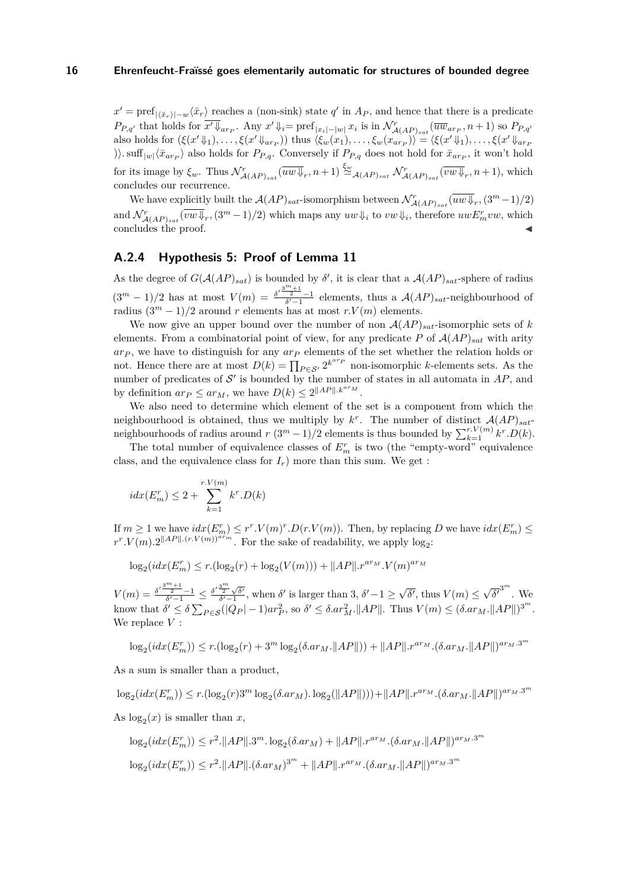$x' = \text{pref}_{|\langle \bar{x}_r \rangle| - w} \langle \bar{x}_r \rangle$  reaches a (non-sink) state *q*' in  $A_P$ , and hence that there is a predicate  $P_{P,q'}$  that holds for  $\overline{x'\Downarrow_{ar_{P}}}$ . Any  $x'\Downarrow_i = \text{pref}_{|x_i| - |w|} x_i$  is in  $\mathcal{N}^r_{\mathcal{A}(AP)_{sat}}(\overline{uw}_{ar_{P}}, n+1)$  so  $P_{P,q'}$ also holds for  $(\xi(x'\psi_1),\ldots,\xi(x'\psi_{a r_P}))$  thus  $\langle \xi_w(x_1),\ldots,\xi_w(x_{a r_P})\rangle = \langle \xi(x'\psi_1),\ldots,\xi(x'\psi_{a r_P})\rangle$ )).  $\sup_{|w| \langle \bar{x}_{arp} \rangle}$  also holds for  $P_{P,q}$ . Conversely if  $P_{P,q}$  does not hold for  $\bar{x}_{arp}$ , it won't hold for its image by  $\xi_w$ . Thus  $\mathcal{N}^r_{\mathcal{A}(AP)_{sat}}(\overline{uw \Downarrow}_r, n+1) \stackrel{\xi_w}{\simeq}_{\mathcal{A}(AP)_{sat}} \mathcal{N}^r_{\mathcal{A}(AP)_{sat}}(\overline{vw \Downarrow}_r, n+1)$ , which concludes our recurrence.

We have explicitly built the  $\mathcal{A}(AP)_{sat}$ -isomorphism between  $\mathcal{N}^r_{\mathcal{A}(AP)_{sat}}(\overline{uw \Downarrow}_r, (3^m-1)/2)$ and  $\mathcal{N}_{\mathcal{A}(AP)_{sat}}^r(\overline{vw} \Downarrow_r, (3^m-1)/2)$  which maps any  $uw \Downarrow_i$  to  $vw \Downarrow_i$ , therefore  $uwE_m^rvw$ , which concludes the proof.

# **A.2.4 Hypothesis 5: Proof of Lemma [11](#page-9-0)**

As the degree of  $G(AAP)_{sat}$  is bounded by  $\delta'$ , it is clear that a  $A(AP)_{sat}$ -sphere of radius  $(3<sup>m</sup> - 1)/2$  has at most  $V(m) = \frac{{\delta'}^{\frac{3<sup>m</sup> + 1}{2}} - 1}{\delta' - 1}$  elements, thus a  $\mathcal{A}(AP)_{sat}$ -neighbourhood of radius  $(3^m - 1)/2$  around *r* elements has at most *r*.  $V(m)$  elements.

We now give an upper bound over the number of non  $\mathcal{A}(AP)_{sat}$ -isomorphic sets of *k* elements. From a combinatorial point of view, for any predicate P of  $\mathcal{A}(AP)_{sat}$  with arity *ar<sup>P</sup>* , we have to distinguish for any *ar<sup>P</sup>* elements of the set whether the relation holds or not. Hence there are at most  $D(k) = \prod_{P \in \mathcal{S}'} 2^{k^{arp}}$  non-isomorphic *k*-elements sets. As the number of predicates of  $\mathcal{S}'$  is bounded by the number of states in all automata in  $AP$ , and by definition  $ar_P \le ar_M$ , we have  $D(k) \le 2^{\|AP\| \cdot k^{a r_M}}$ .

We also need to determine which element of the set is a component from which the neighbourhood is obtained, thus we multiply by  $k^r$ . The number of distinct  $\mathcal{A}(AP)_{sat}$ neighbourhoods of radius around  $r(3^m-1)/2$  elements is thus bounded by  $\sum_{k=1}^{r,V(m)} k^r \cdot D(k)$ .

The total number of equivalence classes of  $E_n^r$  is two (the "empty-word" equivalence class, and the equivalence class for  $I_r$ ) more than this sum. We get :

$$
idx(E_m^r) \le 2 + \sum_{k=1}^{r.V(m)} k^r.D(k)
$$

If  $m \geq 1$  we have  $idx(E_m^r) \leq r^r \cdot V(m)^r \cdot D(r \cdot V(m))$ . Then, by replacing  $D$  we have  $idx(E_m^r) \leq$  $r^r \cdot V(m) \cdot 2^{\|AP\| \cdot (r \cdot V(m))^{a r} m}$ . For the sake of readability, we apply log<sub>2</sub>:

$$
\log_2(idx(E_m^r) \le r.(\log_2(r) + \log_2(V(m))) + ||AP|| \cdot r^{a r_M} \cdot V(m)^{a r_M}
$$

 $V(m) = \frac{{\delta'}^{\frac{3^m+1}{2}}-1}{\delta'-1} \leq \frac{{\delta'}^{\frac{3^m}{2}}\sqrt{\delta'}}{\delta'-1}$ , when  $\delta'$  is larger than 3,  $\delta'-1 \geq \sqrt{\frac{3^m+1}{2}}$  $\overline{\delta'}$ , thus  $V(m) \leq$ √  $\overline{\delta'}^{3^m}$ . We know that  $\delta' \leq \delta \sum_{P \in \mathcal{S}} (|Q_P| - 1) a r_P^2$ , so  $\delta' \leq \delta . a r_M^2$ .  $||AP||$ . Thus  $V(m) \leq (\delta . a r_M. ||AP||)^{3^m}$ . We replace *V* :

$$
\log_2 (idx(E_m^r)) \leq r.(\log_2(r)+3^m\log_2(\delta . ar_M. \|AP\|))+\|AP\|.r^{ar_M}.(\delta . ar_M. \|AP\|)^{ar_M.3^m}
$$

As a sum is smaller than a product,

$$
\log_2 (idx(E_m^r)) \leq r.(\log_2(r) 3^m \log_2(\delta . ar_M). \log_2(\|AP\|)))+\|AP\|.r^{ar_M}.(\delta . ar_M.\|AP\|)^{ar_M.3^m}
$$

As  $\log_2(x)$  is smaller than *x*,

$$
\log_2(idx(E_m^r)) \le r^2 \cdot ||AP|| \cdot 3^m \cdot \log_2(\delta ar_M) + ||AP|| \cdot r^{ar_M} \cdot (\delta ar_M \cdot ||AP||)^{ar_M \cdot 3^m}
$$
  

$$
\log_2(idx(E_m^r)) \le r^2 \cdot ||AP|| \cdot (\delta ar_M)^{3^m} + ||AP|| \cdot r^{ar_M} \cdot (\delta ar_M \cdot ||AP||)^{ar_M \cdot 3^m}
$$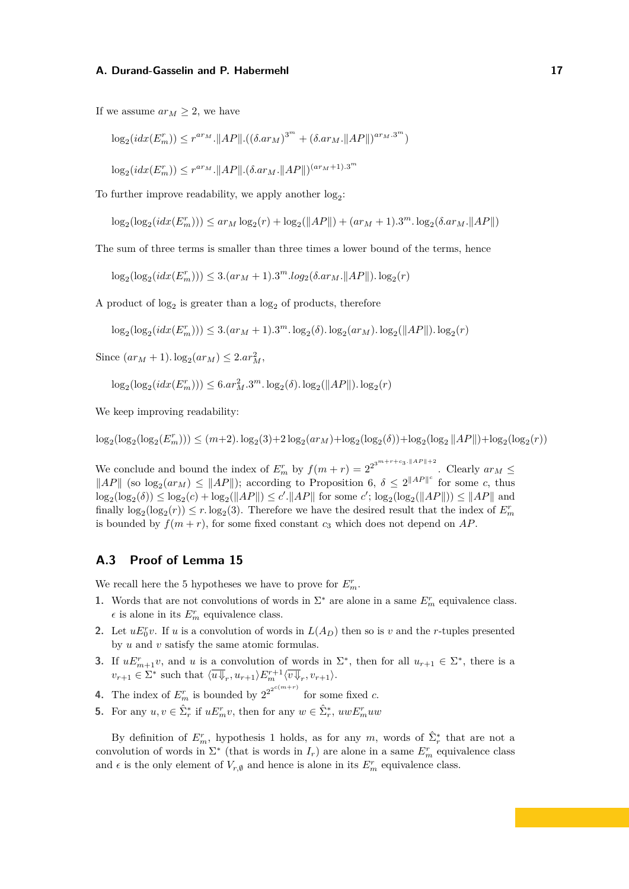If we assume  $ar_M \geq 2$ , we have

$$
\log_2(idx(E_m^r)) \le r^{ar_M} \cdot ||AP|| \cdot ((\delta ar_M)^{3^m} + (\delta ar_M \cdot ||AP||)^{ar_M \cdot 3^m})
$$

 $\log_2(i dx(E_m^r)) \leq r^{a r_M}$ . $||AP|| \cdot (\delta . a r_M$ . $||AP||)^{(a r_M + 1) .3^m}$ 

To further improve readability, we apply another  $log_2$ :

 $\log_2(\log_2(idx(E_m^r))) \leq ar_M \log_2(r) + \log_2(||AP||) + (ar_M + 1) \cdot 3^m \cdot \log_2(\delta \cdot ar_M \cdot ||AP||)$ 

The sum of three terms is smaller than three times a lower bound of the terms, hence

 $\log_2(\log_2(i dx(E_m^r))) \leq 3.(ar_M + 1).3^m.log_2(\delta.ar_M.\|AP\|). \log_2(r)$ 

A product of  $log_2$  is greater than a  $log_2$  of products, therefore

 $\log_2(\log_2(idx(E_m^r))) \leq 3.(ar_M + 1).3^m.\log_2(\delta).\log_2(ar_M).\log_2(||AP||).\log_2(r)$ 

 $Since (ar<sub>M</sub> + 1). log<sub>2</sub>(ar<sub>M</sub>) \le 2*.ar*<sub>M</sub><sup>2</sup>,$ 

$$
\log_2(\log_2(i dx (E_m^r))) \le 6. ar_M^2 \cdot 3^m \cdot \log_2(\delta) \cdot \log_2(\|AP\|) \cdot \log_2(r)
$$

We keep improving readability:

 $\log_2(\log_2(E_m^r))) \le (m+2) \cdot \log_2(3) + 2 \log_2(ar_M) + \log_2(\log_2(\delta)) + \log_2(\log_2||AP||) + \log_2(\log_2(r))$ 

We conclude and bound the index of  $E_m^r$  by  $f(m+r) = 2^{2^{3^{m+r+c_3} \cdot \|AP\|+2}}$ . Clearly  $ar_M \le$  $||AP||$  (so  $log_2(ar_M) \leq ||AP||$ ); according to Proposition [6,](#page-8-0)  $\delta \leq 2||AP||^c$  for some *c*, thus  $\log_2(\log_2(\delta)) \leq \log_2(c) + \log_2(||AP||) \leq c'.||AP||$  for some *c'*;  $\log_2(\log_2(||AP||)) \leq ||AP||$  and finally  $\log_2(\log_2(r)) \leq r \cdot \log_2(3)$ . Therefore we have the desired result that the index of  $E_m^r$ is bounded by  $f(m + r)$ , for some fixed constant  $c_3$  which does not depend on  $AP$ .

# **A.3 Proof of Lemma [15](#page-10-0)**

We recall here the 5 hypotheses we have to prove for  $E_m^r$ .

- <span id="page-16-0"></span>**1.** Words that are not convolutions of words in  $\Sigma^*$  are alone in a same  $E^r_m$  equivalence class.  $\epsilon$  is alone in its  $E_m^r$  equivalence class.
- <span id="page-16-1"></span>**2.** Let  $uE_0^r v$ . If *u* is a convolution of words in  $L(A_D)$  then so is *v* and the *r*-tuples presented by *u* and *v* satisfy the same atomic formulas.
- <span id="page-16-2"></span>**3.** If  $uE_{m+1}^r v$ , and *u* is a convolution of words in  $\Sigma^*$ , then for all  $u_{r+1} \in \Sigma^*$ , there is a  $v_{r+1} \in \Sigma^*$  such that  $\langle \overline{u} \psi_r, u_{r+1} \rangle E_m^{r+1} \langle \overline{v} \psi_r, v_{r+1} \rangle$ .
- <span id="page-16-3"></span>**4.** The index of  $E_m^r$  is bounded by  $2^{2^{2^{c(m+r)}}}$  for some fixed *c*.
- <span id="page-16-4"></span>**5.** For any  $u, v \in \hat{\Sigma}_r^*$  if  $uE_m^r v$ , then for any  $w \in \hat{\Sigma}_r^*$ ,  $u w E_m^r u w$

By definition of  $E_m^r$ , hypothesis [1](#page-16-0) holds, as for any  $m$ , words of  $\hat{\Sigma}_r^*$  that are not a convolution of words in  $\Sigma^*$  (that is words in  $I_r$ ) are alone in a same  $E^r_m$  equivalence class and  $\epsilon$  is the only element of  $V_{r,\emptyset}$  and hence is alone in its  $E_m^r$  equivalence class.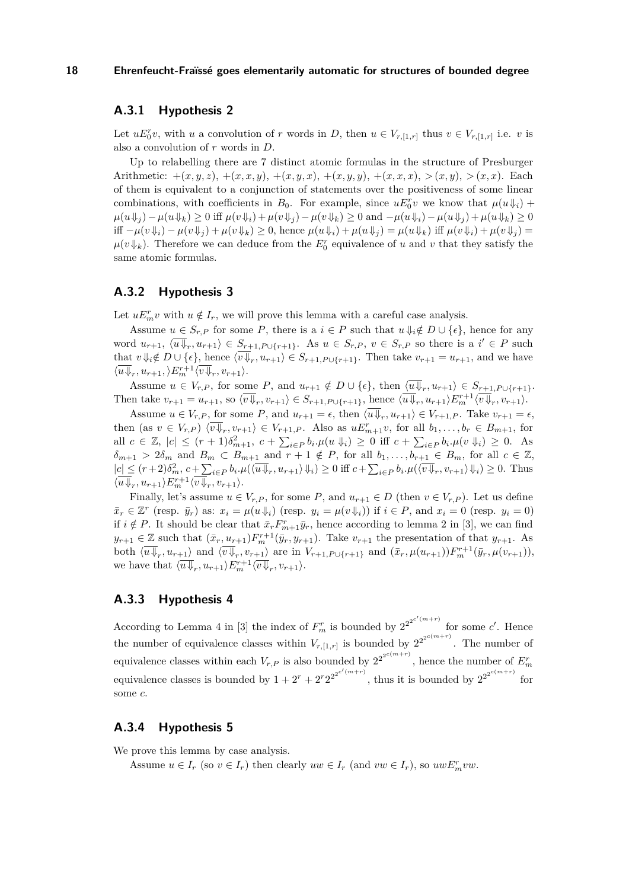# **A.3.1 Hypothesis [2](#page-16-1)**

Let  $uE_0^r v$ , with *u* a convolution of *r* words in *D*, then  $u \in V_{r,[1,r]}$  thus  $v \in V_{r,[1,r]}$  i.e. *v* is also a convolution of *r* words in *D*.

Up to relabelling there are 7 distinct atomic formulas in the structure of Presburger Arithmetic:  $+(x, y, z), +(x, x, y), +(x, y, x), +(x, y, y), +(x, x, x), > (x, y), > (x, x)$ . Each of them is equivalent to a conjunction of statements over the positiveness of some linear combinations, with coefficients in  $B_0$ . For example, since  $uE_0^r v$  we know that  $\mu(u\downarrow_i)$  +  $\mu(u\psi_i) - \mu(u\psi_k) \geq 0$  iff  $\mu(v\psi_i) + \mu(v\psi_i) - \mu(v\psi_k) \geq 0$  and  $-\mu(u\psi_i) - \mu(u\psi_i) + \mu(u\psi_k) \geq 0$ iff  $-\mu(v\psi_i) - \mu(v\psi_j) + \mu(v\psi_k) \geq 0$ , hence  $\mu(u\psi_i) + \mu(u\psi_j) = \mu(u\psi_k)$  iff  $\mu(v\psi_i) + \mu(v\psi_j) =$  $\mu(v|\mathbf{L})$ . Therefore we can deduce from the  $E_0^r$  equivalence of *u* and *v* that they satisfy the same atomic formulas.

# **A.3.2 Hypothesis [3](#page-16-2)**

Let  $uE_m^r v$  with  $u \notin I_r$ , we will prove this lemma with a careful case analysis.

Assume  $u \in S_r$  *P* for some *P*, there is a  $i \in P$  such that  $u \Downarrow_i \notin D \cup \{\epsilon\}$ , hence for any word  $u_{r+1}$ ,  $\langle \overline{u} \overline{\psi}_r, u_{r+1} \rangle \in S_{r+1, P \cup \{r+1\}}$ . As  $u \in S_{r,P}$ ,  $v \in S_{r,P}$  so there is a  $i' \in P$  such that  $v \Downarrow_i \notin D \cup \{\epsilon\}$ , hence  $\langle v \Downarrow_r, u_{r+1} \rangle \in S_{r+1, P \cup \{r+1\}}$ . Then take  $v_{r+1} = u_{r+1}$ , and we have  $\langle \overline{u} \Downarrow_r, u_{r+1}, \rangle E_m^{r+1} \langle \overline{v} \Downarrow_r, v_{r+1} \rangle.$ 

Assume  $u \in V_{r,P}$ , for some  $P$ , and  $u_{r+1} \notin D \cup \{\epsilon\}$ , then  $\langle u \Downarrow_r, u_{r+1} \rangle \in S_{r+1,P \cup \{r+1\}}$ . Then take  $v_{r+1} = u_{r+1}$ , so  $\langle v \overline{\psi}_r, v_{r+1} \rangle \in S_{r+1, P \cup \{r+1\}}$ , hence  $\langle \overline{u} \overline{\psi}_r, u_{r+1} \rangle E_m^{r+1} \langle \overline{v} \overline{\psi}_r, v_{r+1} \rangle$ .

Assume  $u \in V_{r,P}$ , for some  $P$ , and  $u_{r+1} = \epsilon$ , then  $\langle u \Downarrow_r, u_{r+1} \rangle \in V_{r+1,P}$ . Take  $v_{r+1} = \epsilon$ , then (as  $v \in V_{r,P}$ )  $\langle v \overline{\psi}_r, v_{r+1} \rangle \in V_{r+1,P}$ . Also as  $uE_{m+1}^r v$ , for all  $b_1, \ldots, b_r \in B_{m+1}$ , for all  $c \in \mathbb{Z}$ ,  $|c| \le (r+1)\delta_{m+1}^2$ ,  $c + \sum_{i \in P} b_i \cdot \mu(u \Downarrow i) \ge 0$  iff  $c + \sum_{i \in P} b_i \cdot \mu(v \Downarrow i) \ge 0$ . As  $\delta_{m+1}$  > 2 $\delta_m$  and  $B_m \subset B_{m+1}$  and  $r+1 \notin P$ , for all  $b_1, \ldots, b_{r+1} \in B_m$ , for all  $c \in \mathbb{Z}$ ,  $|c| \leq (r+2)\delta_m^2, c+\sum_{i\in P} b_i.\mu(\langle \overline{u} \overline{\psi}_r, u_{r+1}\rangle \psi_i) \geq 0$  iff  $c+\sum_{i\in P} b_i.\mu(\langle \overline{v} \overline{\psi}_r, v_{r+1}\rangle \psi_i) \geq 0$ . Thus  $\langle \overline{u} \psi_r, u_{r+1} \rangle E_m^{r+1} \langle \overline{v} \psi_r, v_{r+1} \rangle.$ 

Finally, let's assume  $u \in V_{r,P}$ , for some P, and  $u_{r+1} \in D$  (then  $v \in V_{r,P}$ ). Let us define  $\bar{x}_r \in \mathbb{Z}^r$  (resp.  $\bar{y}_r$ ) as:  $x_i = \mu(u \Downarrow_i)$  (resp.  $y_i = \mu(v \Downarrow_i)$ ) if  $i \in P$ , and  $x_i = 0$  (resp.  $y_i = 0$ ) if  $i \notin P$ . It should be clear that  $\bar{x}_r F^r_{m+1} \bar{y}_r$ , hence according to lemma 2 in [\[3\]](#page-11-5), we can find  $y_{r+1} \in \mathbb{Z}$  such that  $(\bar{x}_r, u_{r+1}) F_m^{r+1}(\bar{y}_r, y_{r+1})$ . Take  $v_{r+1}$  the presentation of that  $y_{r+1}$ . As both  $\langle \overline{u} \overline{\psi}_r, u_{r+1} \rangle$  and  $\langle \overline{v} \overline{\psi}_r, v_{r+1} \rangle$  are in  $V_{r+1,P\cup\{r+1\}}$  and  $(\bar{x}_r, \mu(u_{r+1})) F_m^{r+1}(\bar{y}_r, \mu(v_{r+1})),$ we have that  $\langle \overline{u} \psi_r, u_{r+1} \rangle E_m^{r+1} \langle \overline{v} \psi_r, v_{r+1} \rangle$ .

# **A.3.3 Hypothesis [4](#page-16-3)**

According to Lemma 4 in [\[3\]](#page-11-5) the index of  $F_m^r$  is bounded by  $2^{2^{2^{c'(m+r)}}}$  for some *c'*. Hence the number of equivalence classes within  $V_{r,[1,r]}$  is bounded by  $2^{2^{2^{c(m+r)}}}$ . The number of equivalence classes within each  $V_{r,P}$  is also bounded by  $2^{2^{2^{c(m+r)}}}$ , hence the number of  $E_m^r$ equivalence classes is bounded by  $1 + 2r + 2r2^{2^{2^{c'(m+r)}}}$ , thus it is bounded by  $2^{2^{2^{c(m+r)}}}$  for some *c*.

# **A.3.4 Hypothesis [5](#page-16-4)**

We prove this lemma by case analysis.

Assume  $u \in I_r$  (so  $v \in I_r$ ) then clearly  $uw \in I_r$  (and  $vw \in I_r$ ), so  $uwE_m^rvw$ .